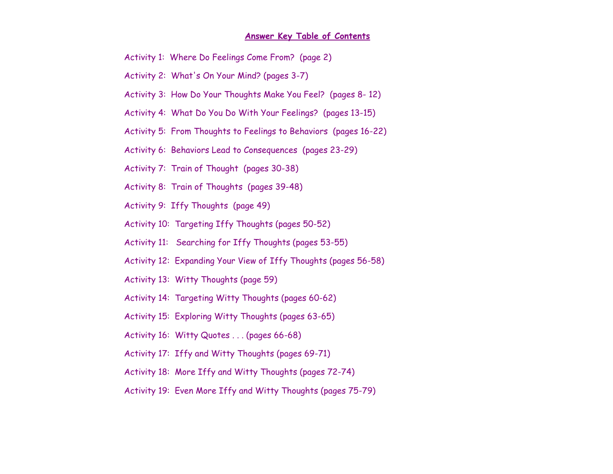#### **Answer Key Table of Contents**

- Activity 1: Where Do Feelings Come From? (page 2)
- Activity 2: What's On Your Mind? (pages 3-7)
- Activity 3: How Do Your Thoughts Make You Feel? (pages 8- 12)
- Activity 4: What Do You Do With Your Feelings? (pages 13-15)
- Activity 5: From Thoughts to Feelings to Behaviors (pages 16-22)
- Activity 6: Behaviors Lead to Consequences (pages 23-29)
- Activity 7: Train of Thought (pages 30-38)
- Activity 8: Train of Thoughts (pages 39-48)
- Activity 9: Iffy Thoughts (page 49)
- Activity 10: Targeting Iffy Thoughts (pages 50-52)
- Activity 11: Searching for Iffy Thoughts (pages 53-55)
- Activity 12: Expanding Your View of Iffy Thoughts (pages 56-58)
- Activity 13: Witty Thoughts (page 59)
- Activity 14: Targeting Witty Thoughts (pages 60-62)
- Activity 15: Exploring Witty Thoughts (pages 63-65)
- Activity 16: Witty Quotes . . . (pages 66-68)
- Activity 17: Iffy and Witty Thoughts (pages 69-71)
- Activity 18: More Iffy and Witty Thoughts (pages 72-74)
- Activity 19: Even More Iffy and Witty Thoughts (pages 75-79)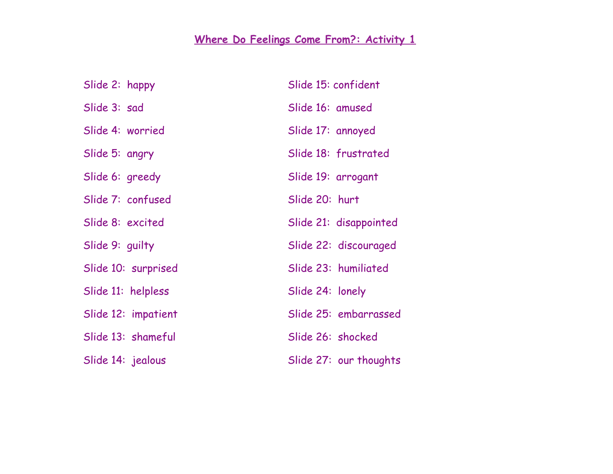# **Where Do Feelings Come From?: Activity 1**

| Slide 2: happy      | Slide 15: confident    |
|---------------------|------------------------|
| Slide 3: sad        | Slide 16: amused       |
| Slide 4: worried    | Slide 17: annoyed      |
| Slide 5: angry      | Slide 18: frustrated   |
| Slide 6: greedy     | Slide 19: arrogant     |
| Slide 7: confused   | Slide 20: hurt         |
| Slide 8: excited    | Slide 21: disappointed |
| Slide 9: guilty     | Slide 22: discouraged  |
| Slide 10: surprised | Slide 23: humiliated   |
| Slide 11: helpless  | Slide 24: lonely       |
| Slide 12: impatient | Slide 25: embarrassed  |
| Slide 13: shameful  | Slide 26: shocked      |
| Slide 14: jealous   | Slide 27: our thoughts |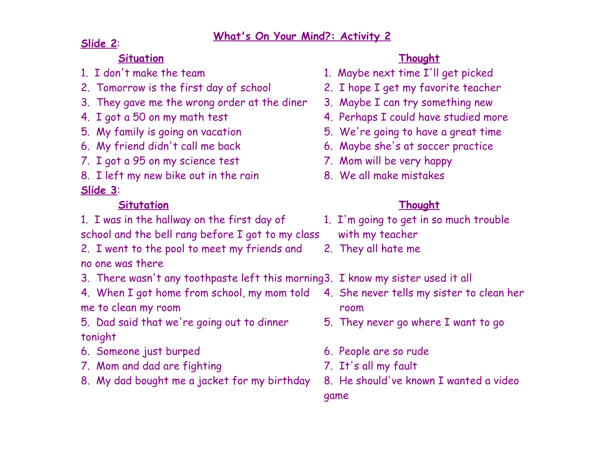# **Slide 2**:

# **Situation Thought**

- 2. Tomorrow is the first day of school 2. I hope I get my favorite teacher
- 3. They gave me the wrong order at the diner 3. Maybe I can try something new
- 
- 
- 
- 7. I got a 95 on my science test 7. Mom will be very happy
- 8. I left my new bike out in the rain 8. We all make mistakes

# **Slide 3**:

# **Situtation Thought**

- 1. I was in the hallway on the first day of 1. I'm going to get in so much trouble
- school and the bell rang before I got to my class with my teacher
- 2. I went to the pool to meet my friends and 2. They all hate me no one was there
- 3. There wasn't any toothpaste left this morning3. I know my sister used it all
- 4. When I got home from school, my mom told 4. She never tells my sister to clean her me to clean my room room
- 5. Dad said that we're going out to dinner 5. They never go where I want to go tonight
- 6. Someone just burped 6. People are so rude
- 7. Mom and dad are fighting 7. It's all my fault
- 8. My dad bought me a jacket for my birthday 8. He should've known I wanted a video

- 1. I don't make the team 1. Maybe next time I'll get picked
	-
	-
- 4. I got a 50 on my math test 4. Perhaps I could have studied more
- 5. My family is going on vacation 5. We're going to have a great time
- 6. My friend didn't call me back 6. Maybe she's at soccer practice
	-
	-

- 
- 
- -
	-
	-
	-
	- game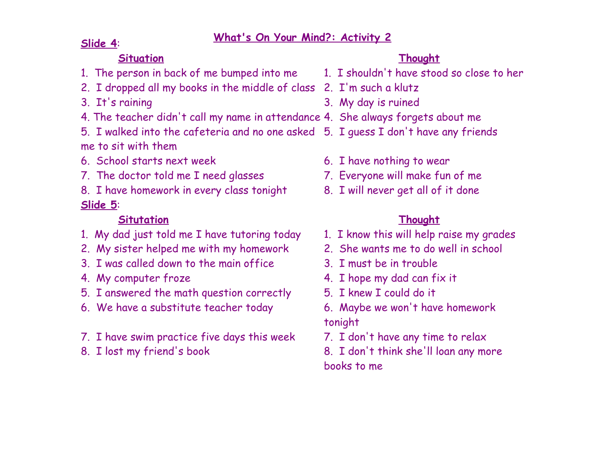# **What's On Your Mind?: Activity <sup>2</sup> Slide <sup>4</sup>**:

# **Situation Thought**

- 1. The person in back of me bumped into me 1. I shouldn't have stood so close to her
- 2. I dropped all my books in the middle of class 2. I'm such a klutz
- 
- 4. The teacher didn't call my name in attendance 4. She always forgets about me
- 5. I walked into the cafeteria and no one asked 5. I guess I don't have any friends me to sit with them
- 6. School starts next week 6. I have nothing to wear
- 7. The doctor told me I need glasses 7. Everyone will make fun of me
- 8. I have homework in every class tonight 8. I will never get all of it done **Slide 5**:

# **Situtation Thought**

- 1. My dad just told me I have tutoring today 1. I know this will help raise my grades
- 2. My sister helped me with my homework 2. She wants me to do well in school
- 3. I was called down to the main office 3. I must be in trouble
- 
- 5. I answered the math question correctly 5. I knew I could do it
- 6. We have a substitute teacher today 6. Maybe we won't have homework
- 7. I have swim practice five days this week 7. I don't have any time to relax
- 

- 
- 
- 3. It's raining 3. My day is ruined
	-
	- -
		-
		-

- 
- 
- 
- 4. My computer froze **4. I hope my dad can fix it** 
	-
	- tonight
	-
- 8. I lost my friend's book 8. I don't think she'll loan any more books to me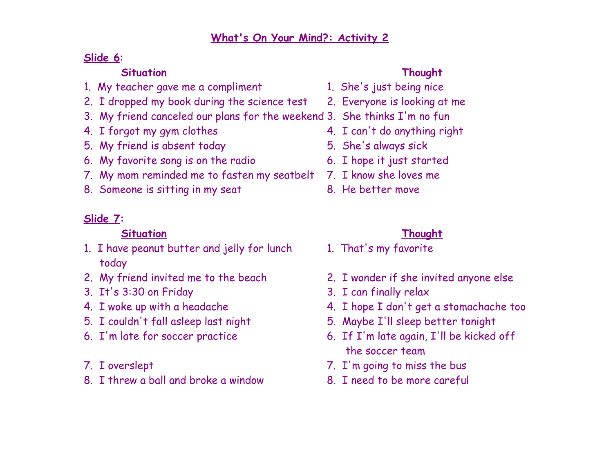# **Slide 6**:

# **Situation Thought**

- 1. My teacher gave me a compliment 1. She's just being nice
- 2. I dropped my book during the science test 2. Everyone is looking at me
- 3. My friend canceled our plans for the weekend 3. She thinks I'm no fun
- 
- 5. My friend is absent today 5. She's always sick
- 6. My favorite song is on the radio 6. I hope it just started
- 7. My mom reminded me to fasten my seatbelt 7. I know she loves me
- 8. Someone is sitting in my seat 8. He better move

# **Slide 7:**

# **Situation Thought**

- 1. I have peanut butter and jelly for lunch 1. That's my favorite today
- 
- 3. It's 3:30 on Friday 3. I can finally relax
- 
- 
- 
- 
- 8. I threw a ball and broke a window 8. I need to be more careful

- 
- 
- 
- 4. I forgot my gym clothes 4. I can't do anything right
	-
	-
	-
	-

- 
- 2. My friend invited me to the beach 2. I wonder if she invited anyone else
	-
- 4. I woke up with a headache 4. I hope I don't get a stomachache too
- 5. I couldn't fall asleep last night 5. Maybe I'll sleep better tonight
- 6. I'm late for soccer practice 6. If I'm late again, I'll be kicked off the soccer team
- 7. I overslept 7. I'm going to miss the bus
	-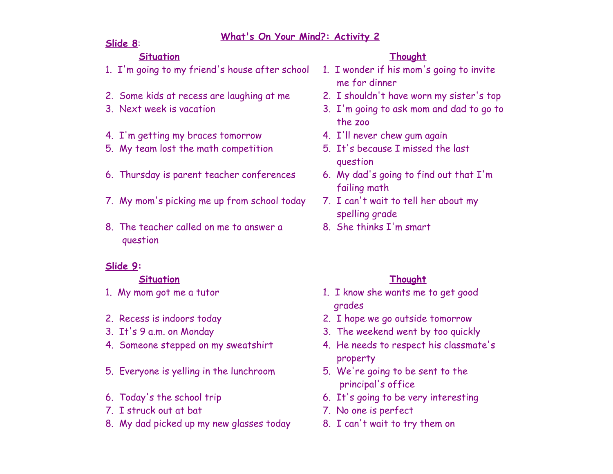#### **Slide 8**:

#### **Situation Thought**

- 1. I'm going to my friend's house after school 1. I wonder if his mom's going to invite
- 2. Some kids at recess are laughing at me 2. I shouldn't have worn my sister's top
- 
- 4. I'm getting my braces tomorrow 4. I'll never chew gum again
- 5. My team lost the math competition 5. It's because I missed the last
- 6. Thursday is parent teacher conferences 6. My dad's going to find out that I'm
- 7. My mom's picking me up from school today 7. I can't wait to tell her about my
- 8. The teacher called on me to answer a a set She thinks I'm smart question

## **Slide 9:**

### **Situation Thought**

- 
- 
- 
- 
- 5. Everyone is yelling in the lunchroom 5. We're going to be sent to the
- 
- 7. I struck out at bat 7. No one is perfect
- 8. My dad picked up my new glasses today 8. I can't wait to try them on

- me for dinner
- 
- 3. Next week is vacation 3. I'm going to ask mom and dad to go to the zoo
	-
	- question
	- failing math
	- spelling grade
	-

- 1. My mom got me a tutor 1. I know she wants me to get good grades
- 2. Recess is indoors today 2. I hope we go outside tomorrow
- 3. It's 9 a.m. on Monday 3. The weekend went by too quickly
- 4. Someone stepped on my sweatshirt 4. He needs to respect his classmate's property
	- principal's office
- 6. Today's the school trip 6. It's going to be very interesting
	-
	-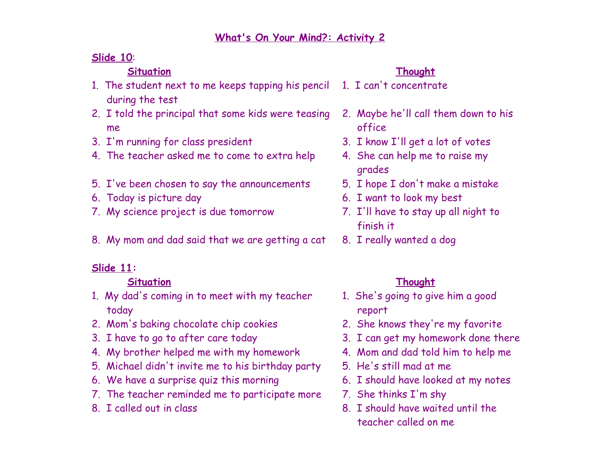# **Slide 10**:

## **Situation Thought**

- 1. The student next to me keeps tapping his pencil 1. I can't concentrate during the test
- 2. I told the principal that some kids were teasing 2. Maybe he'll call them down to his me office
- 3. I'm running for class president 3. I know I'll get a lot of votes
- 4. The teacher asked me to come to extra help 4. She can help me to raise my
- 5. I've been chosen to say the announcements 5. I hope I don't make a mistake
- 
- 7. My science project is due tomorrow 7. I'll have to stay up all night to
- 8. My mom and dad said that we are getting a cat 8. I really wanted a dog

# **Slide 11:**

# **Situation Thought**

- 1. My dad's coming in to meet with my teacher 1. She's going to give him a good today report
- 2. Mom's baking chocolate chip cookies 2. She knows they're my favorite
- 
- 4. My brother helped me with my homework 4. Mom and dad told him to help me
- 5. Michael didn't invite me to his birthday party 5. He's still mad at me
- 6. We have a surprise quiz this morning 6. I should have looked at my notes
- 7. The teacher reminded me to participate more 7. She thinks I'm shy
- 

- 
- 
- 
- grades
- 
- 6. Today is picture day 6. I want to look my best
	- finish it
	-

- 
- 
- 3. I have to go to after care today 3. I can get my homework done there
	-
	-
	-
	-
- 8. I called out in class 8. I should have waited until the teacher called on me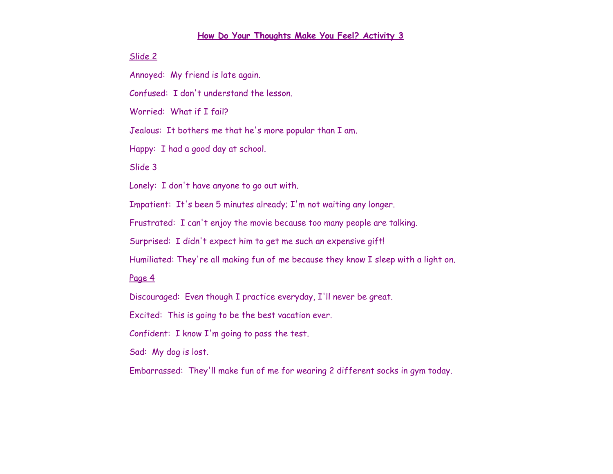#### **How Do Your Thoughts Make You Feel? Activity 3**

#### Slide 2

Annoyed: My friend is late again.

Confused: I don't understand the lesson.

Worried: What if I fail?

Jealous: It bothers me that he's more popular than I am.

Happy: I had a good day at school.

#### Slide 3

Lonely: I don't have anyone to go out with.

Impatient: It's been 5 minutes already; I'm not waiting any longer.

Frustrated: I can't enjoy the movie because too many people are talking.

Surprised: I didn't expect him to get me such an expensive gift!

Humiliated: They're all making fun of me because they know I sleep with a light on.

#### Page 4

Discouraged: Even though I practice everyday, I'll never be great.

Excited: This is going to be the best vacation ever.

Confident: I know I'm going to pass the test.

Sad: My dog is lost.

Embarrassed: They'll make fun of me for wearing 2 different socks in gym today.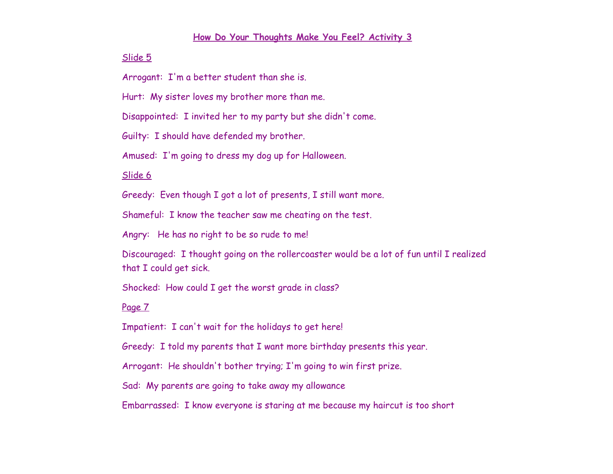#### **How Do Your Thoughts Make You Feel? Activity 3**

#### Slide 5

Arrogant: I'm a better student than she is.

Hurt: My sister loves my brother more than me.

Disappointed: I invited her to my party but she didn't come.

Guilty: I should have defended my brother.

Amused: I'm going to dress my dog up for Halloween.

Slide 6

Greedy: Even though I got a lot of presents, I still want more.

Shameful: I know the teacher saw me cheating on the test.

Angry: He has no right to be so rude to me!

Discouraged: I thought going on the rollercoaster would be a lot of fun until I realized that I could get sick.

Shocked: How could I get the worst grade in class?

#### Page 7

Impatient: I can't wait for the holidays to get here!

Greedy: I told my parents that I want more birthday presents this year.

Arrogant: He shouldn't bother trying; I'm going to win first prize.

Sad: My parents are going to take away my allowance

Embarrassed: I know everyone is staring at me because my haircut is too short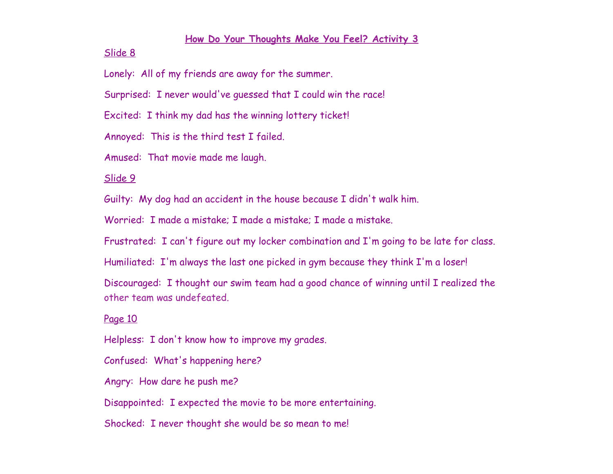#### **How Do Your Thoughts Make You Feel? Activity 3**

Slide 8

Lonely: All of my friends are away for the summer.

Surprised: I never would've guessed that I could win the race!

Excited: I think my dad has the winning lottery ticket!

Annoyed: This is the third test I failed.

Amused: That movie made me laugh.

Slide 9

Guilty: My dog had an accident in the house because I didn't walk him.

Worried: I made a mistake; I made a mistake; I made a mistake.

Frustrated: I can't figure out my locker combination and I'm going to be late for class.

Humiliated: I'm always the last one picked in gym because they think I'm a loser!

Discouraged: I thought our swim team had a good chance of winning until I realized the other team was undefeated.

#### Page 10

Helpless: I don't know how to improve my grades.

Confused: What's happening here?

Angry: How dare he push me?

Disappointed: I expected the movie to be more entertaining.

Shocked: I never thought she would be so mean to me!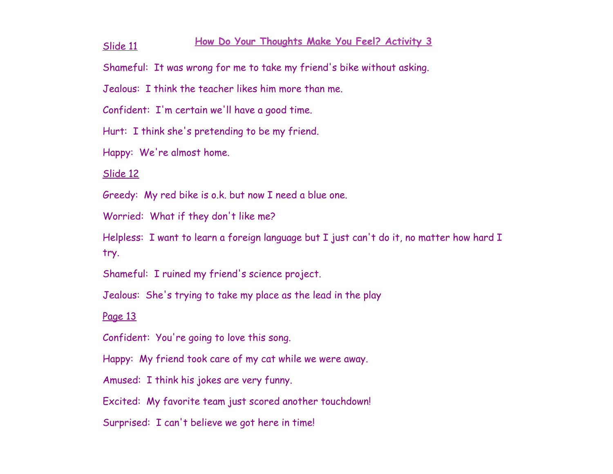# **How Do Your Thoughts Make You Feel? Activity <sup>3</sup>** Slide <sup>11</sup>

Shameful: It was wrong for me to take my friend's bike without asking.

Jealous: I think the teacher likes him more than me.

Confident: I'm certain we'll have a good time.

Hurt: I think she's pretending to be my friend.

Happy: We're almost home.

Slide 12

Greedy: My red bike is o.k. but now I need a blue one.

Worried: What if they don't like me?

Helpless: I want to learn a foreign language but I just can't do it, no matter how hard I try.

Shameful: I ruined my friend's science project.

Jealous: She's trying to take my place as the lead in the play

#### Page 13

Confident: You're going to love this song.

Happy: My friend took care of my cat while we were away.

Amused: I think his jokes are very funny.

Excited: My favorite team just scored another touchdown!

Surprised: I can't believe we got here in time!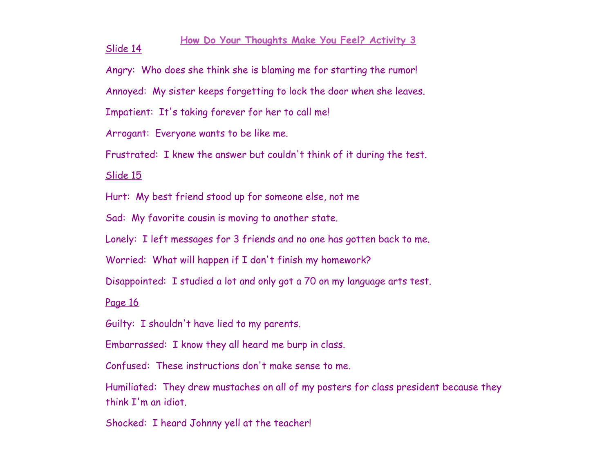#### **How Do Your Thoughts Make You Feel? Activity 3** Slide 14

Angry: Who does she think she is blaming me for starting the rumor!

Annoyed: My sister keeps forgetting to lock the door when she leaves.

Impatient: It's taking forever for her to call me!

Arrogant: Everyone wants to be like me.

Frustrated: I knew the answer but couldn't think of it during the test.

Slide 15

Hurt: My best friend stood up for someone else, not me

Sad: My favorite cousin is moving to another state.

Lonely: I left messages for 3 friends and no one has gotten back to me.

Worried: What will happen if I don't finish my homework?

Disappointed: I studied a lot and only got a 70 on my language arts test.

Page 16

Guilty: I shouldn't have lied to my parents.

Embarrassed: I know they all heard me burp in class.

Confused: These instructions don't make sense to me.

Humiliated: They drew mustaches on all of my posters for class president because they think I'm an idiot.

Shocked: I heard Johnny yell at the teacher!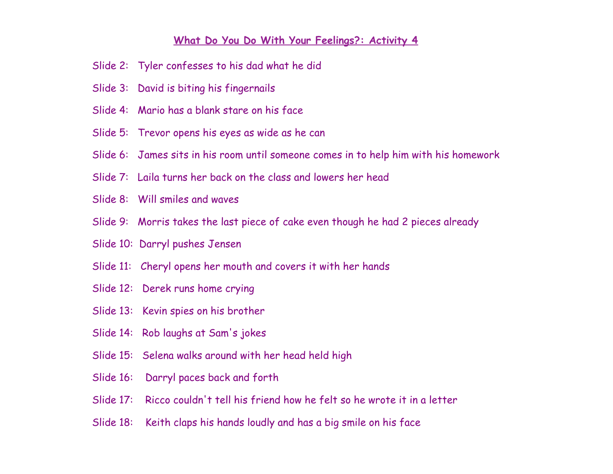#### **What Do You Do With Your Feelings?: Activity 4**

- Slide 2: Tyler confesses to his dad what he did
- Slide 3: David is biting his fingernails
- Slide 4: Mario has a blank stare on his face
- Slide 5: Trevor opens his eyes as wide as he can
- Slide 6: James sits in his room until someone comes in to help him with his homework
- Slide 7: Laila turns her back on the class and lowers her head
- Slide 8: Will smiles and waves
- Slide 9: Morris takes the last piece of cake even though he had 2 pieces already
- Slide 10: Darryl pushes Jensen
- Slide 11: Cheryl opens her mouth and covers it with her hands
- Slide 12: Derek runs home crying
- Slide 13: Kevin spies on his brother
- Slide 14: Rob laughs at Sam's jokes
- Slide 15: Selena walks around with her head held high
- Slide 16: Darryl paces back and forth
- Slide 17: Ricco couldn't tell his friend how he felt so he wrote it in a letter
- Slide 18: Keith claps his hands loudly and has a big smile on his face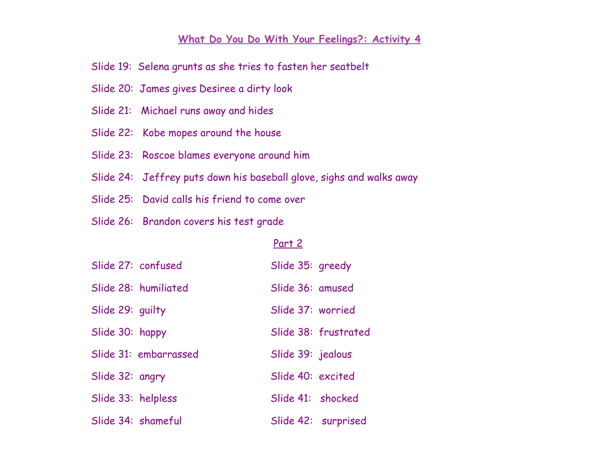#### **What Do You Do With Your Feelings?: Activity 4**

- Slide 19: Selena grunts as she tries to fasten her seatbelt
- Slide 20: James gives Desiree a dirty look
- Slide 21: Michael runs away and hides
- Slide 22: Kobe mopes around the house
- Slide 23: Roscoe blames everyone around him
- Slide 24: Jeffrey puts down his baseball glove, sighs and walks away
- Slide 25: David calls his friend to come over
- Slide 26: Brandon covers his test grade

#### Part 2

|                    | Slide 27: confused    | Slide 35: greedy  |                      |
|--------------------|-----------------------|-------------------|----------------------|
|                    | Slide 28: humiliated  | Slide 36: amused  |                      |
| Slide 29: guilty   |                       | Slide 37: worried |                      |
| Slide 30: happy    |                       |                   | Slide 38: frustrated |
|                    | Slide 31: embarrassed | Slide 39: jealous |                      |
| Slide 32: angry    |                       | Slide 40: excited |                      |
| Slide 33: helpless |                       | Slide 41: shocked |                      |
|                    | Slide 34: shameful    |                   | Slide 42: surprised  |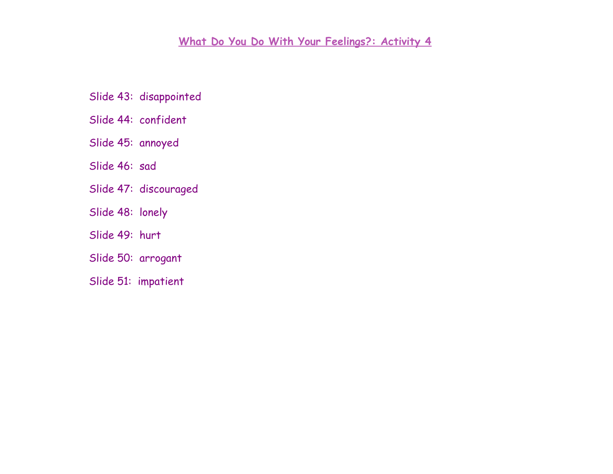# **What Do You Do With Your Feelings?: Activity 4**

- Slide 43: disappointed
- Slide 44: confident
- Slide 45: annoyed
- Slide 46: sad
- Slide 47: discouraged
- Slide 48: lonely
- Slide 49: hurt
- Slide 50: arrogant
- Slide 51: impatient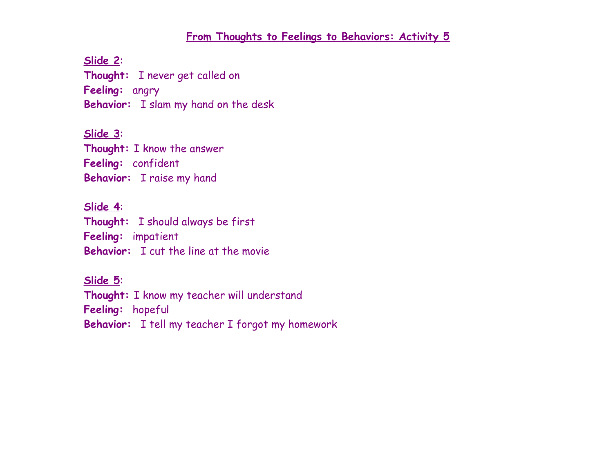**Slide 2**:

**Thought:** I never get called on

**Feeling:** angry

**Behavior:** I slam my hand on the desk

**Slide 3**:

**Thought:** I know the answer

**Feeling:** confident

**Behavior:** I raise my hand

## **Slide 4**:

**Thought:** I should always be first **Feeling:** impatient **Behavior:** I cut the line at the movie

### **Slide 5**:

**Thought:** I know my teacher will understand **Feeling:** hopeful **Behavior:** I tell my teacher I forgot my homework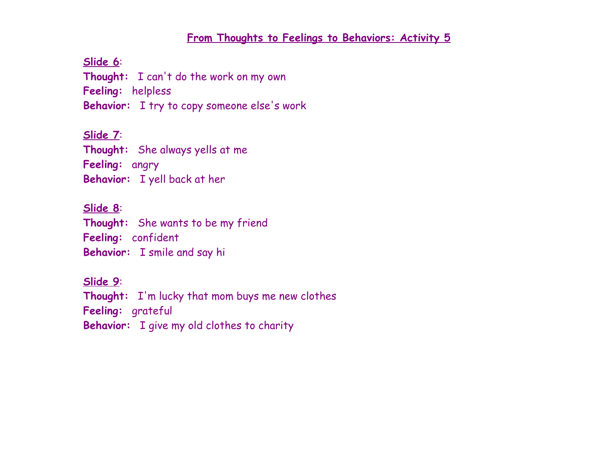**Slide 6**:

**Thought:** I can't do the work on my own

**Feeling:** helpless

**Behavior:** I try to copy someone else's work

## **Slide 7**:

**Thought:** She always yells at me

**Feeling:** angry

**Behavior:** I yell back at her

## **Slide 8**:

**Thought:** She wants to be my friend

**Feeling:** confident

**Behavior:** I smile and say hi

# **Slide 9**:

**Thought:** I'm lucky that mom buys me new clothes **Feeling:** grateful **Behavior:** I give my old clothes to charity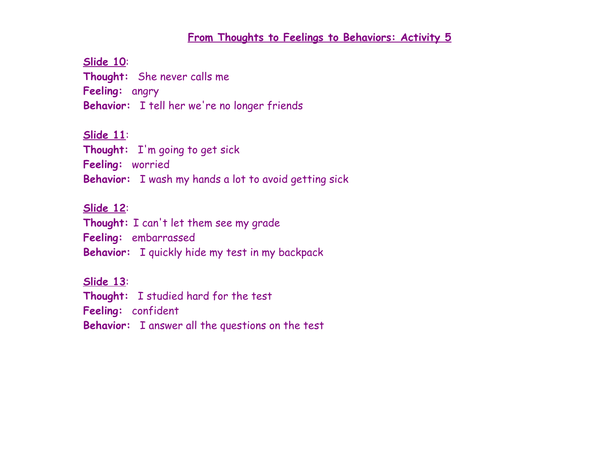**Slide 10**:

**Thought:** She never calls me

**Feeling:** angry

**Behavior:** I tell her we're no longer friends

**Slide 11**:

**Thought:** I'm going to get sick

**Feeling:** worried

**Behavior:** I wash my hands a lot to avoid getting sick

### **Slide 12**:

**Thought:** I can't let them see my grade

**Feeling:** embarrassed

**Behavior:** I quickly hide my test in my backpack

**Slide 13**:

**Thought:** I studied hard for the test

**Feeling:** confident

**Behavior:** I answer all the questions on the test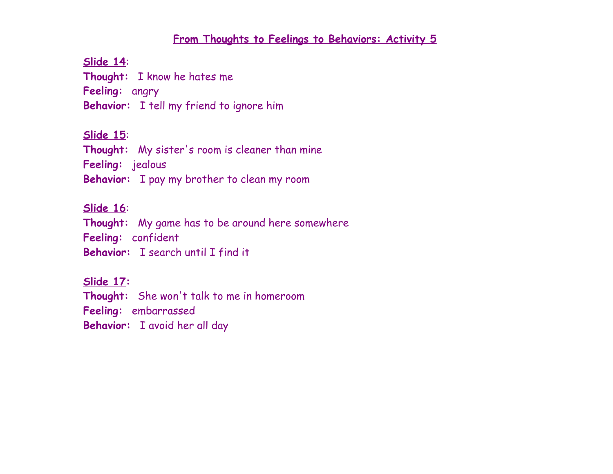**Slide 14**:

**Thought:** I know he hates me

**Feeling:** angry

**Behavior:** I tell my friend to ignore him

**Slide 15**:

**Thought:** My sister's room is cleaner than mine

**Feeling:** jealous

**Behavior:** I pay my brother to clean my room

## **Slide 16**:

**Thought:** My game has to be around here somewhere

**Feeling:** confident

**Behavior:** I search until I find it

**Slide 17:**

**Thought:** She won't talk to me in homeroom

**Feeling:** embarrassed

**Behavior:** I avoid her all day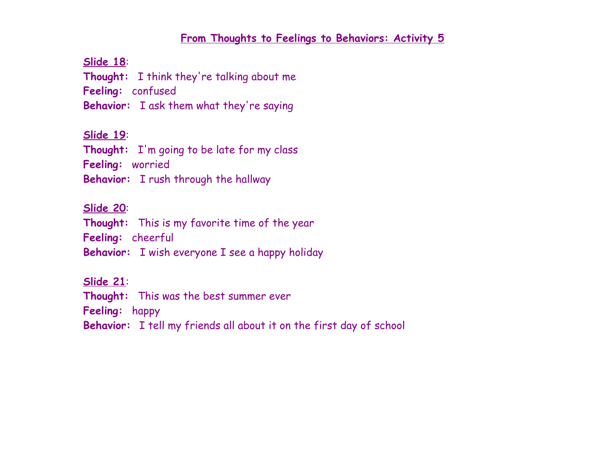**Slide 18**:

**Thought:** I think they're talking about me

**Feeling:** confused

**Behavior:** I ask them what they're saying

**Slide 19**:

**Thought:** I'm going to be late for my class

**Feeling:** worried

**Behavior:** I rush through the hallway

### **Slide 20**:

**Thought:** This is my favorite time of the year

**Feeling:** cheerful

**Behavior:** I wish everyone I see a happy holiday

**Slide 21**:

**Thought:** This was the best summer ever

**Feeling:** happy

**Behavior:** I tell my friends all about it on the first day of school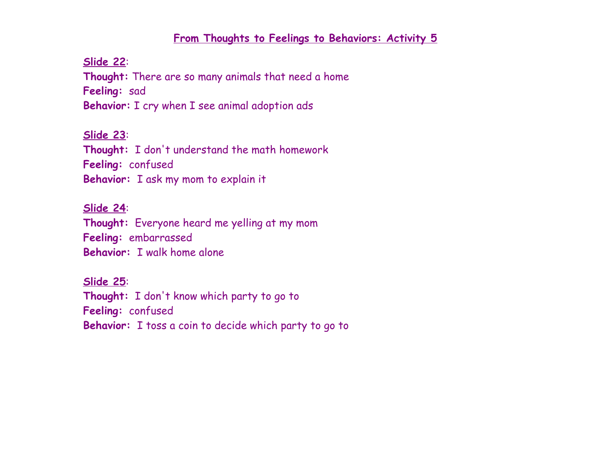#### **Slide 22**:

**Thought:** There are so many animals that need a home **Feeling:** sad **Behavior:** I cry when I see animal adoption ads

## **Slide 23**:

**Thought:** I don't understand the math homework **Feeling:** confused **Behavior:** I ask my mom to explain it

#### **Slide 24**:

**Thought:** Everyone heard me yelling at my mom **Feeling:** embarrassed **Behavior:** I walk home alone

## **Slide 25**:

**Thought:** I don't know which party to go to **Feeling:** confused **Behavior:** I toss a coin to decide which party to go to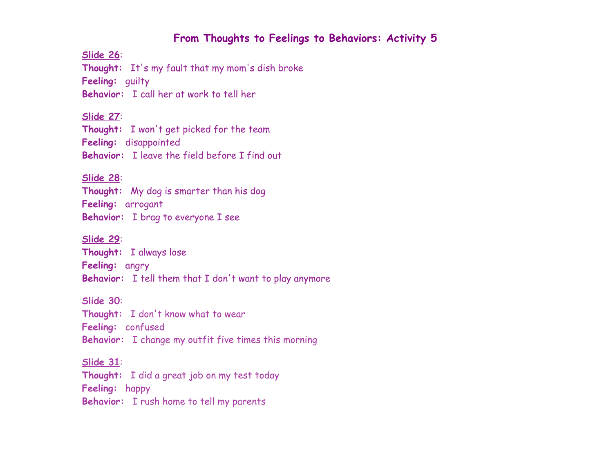**Slide 26**:

**Thought:** It's my fault that my mom's dish broke

**Feeling:** guilty

**Behavior:** I call her at work to tell her

#### **Slide 27**:

**Thought:** I won't get picked for the team **Feeling:** disappointed **Behavior:** I leave the field before I find out

#### **Slide 28**:

**Thought:** My dog is smarter than his dog **Feeling:** arrogant **Behavior:** I brag to everyone I see

**Slide 29**:

**Thought:** I always lose

**Feeling:** angry

**Behavior:** I tell them that I don't want to play anymore

#### **Slide 30**:

**Thought:** I don't know what to wear **Feeling:** confused **Behavior:** I change my outfit five times this morning

**Slide 31**:

**Thought:** I did a great job on my test today **Feeling:** happy

**Behavior:** I rush home to tell my parents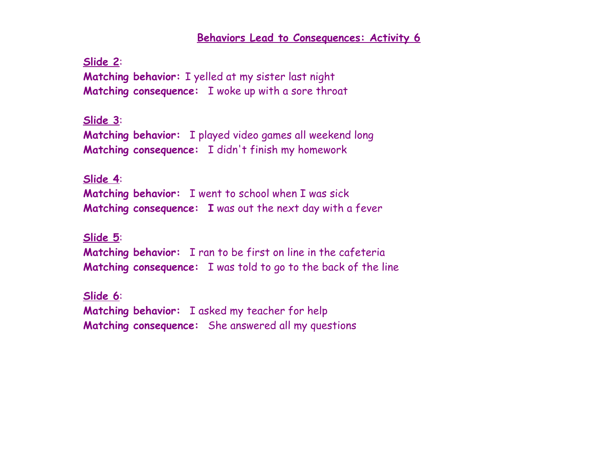**Slide 2**: **Matching behavior:** I yelled at my sister last night **Matching consequence:** I woke up with a sore throat

**Slide 3**: **Matching behavior:** I played video games all weekend long **Matching consequence:** I didn't finish my homework

**Slide 4**: **Matching behavior:** I went to school when I was sick **Matching consequence: I** was out the next day with a fever

**Slide 5**: **Matching behavior:** I ran to be first on line in the cafeteria **Matching consequence:** I was told to go to the back of the line

**Slide 6**: **Matching behavior:** I asked my teacher for help **Matching consequence:** She answered all my questions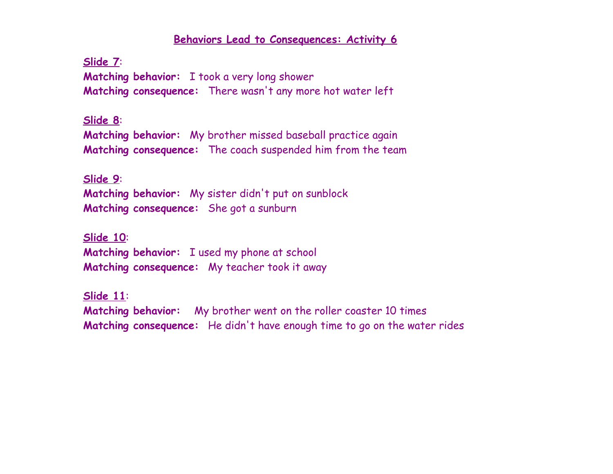**Slide 7**: **Matching behavior:** I took a very long shower **Matching consequence:** There wasn't any more hot water left

**Slide 8**:

**Matching behavior:** My brother missed baseball practice again **Matching consequence:** The coach suspended him from the team

### **Slide 9**:

**Matching behavior:** My sister didn't put on sunblock **Matching consequence:** She got a sunburn

**Slide 10**: **Matching behavior:** I used my phone at school **Matching consequence:** My teacher took it away

**Slide 11**: **Matching behavior:** My brother went on the roller coaster 10 times **Matching consequence:** He didn't have enough time to go on the water rides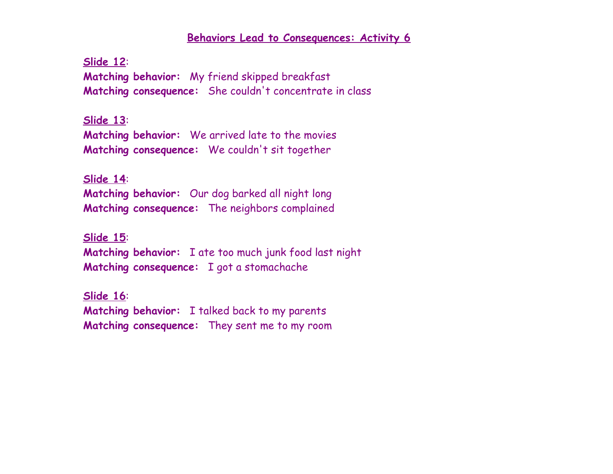**Slide 12**: **Matching behavior:** My friend skipped breakfast **Matching consequence:** She couldn't concentrate in class

**Slide 13**: **Matching behavior:** We arrived late to the movies **Matching consequence:** We couldn't sit together

**Slide 14**: **Matching behavior:** Our dog barked all night long **Matching consequence:** The neighbors complained

**Slide 15**: **Matching behavior:** I ate too much junk food last night **Matching consequence:** I got a stomachache

**Slide 16**: **Matching behavior:** I talked back to my parents **Matching consequence:** They sent me to my room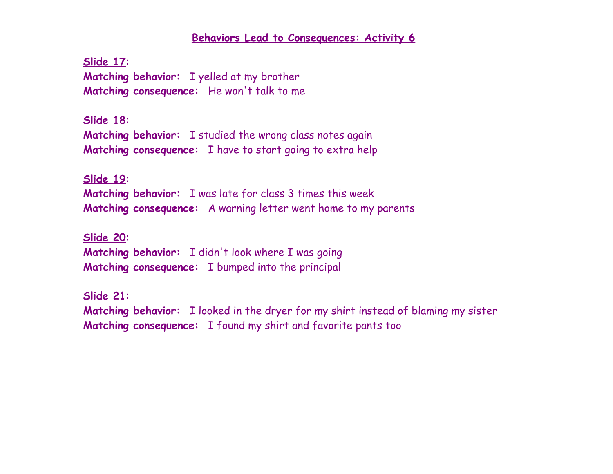**Slide 17**: **Matching behavior:** I yelled at my brother **Matching consequence:** He won't talk to me

**Slide 18**: **Matching behavior:** I studied the wrong class notes again **Matching consequence:** I have to start going to extra help

**Slide 19**: **Matching behavior:** I was late for class 3 times this week **Matching consequence:** A warning letter went home to my parents

**Slide 20**: **Matching behavior:** I didn't look where I was going **Matching consequence:** I bumped into the principal

**Slide 21**: **Matching behavior:** I looked in the dryer for my shirt instead of blaming my sister **Matching consequence:** I found my shirt and favorite pants too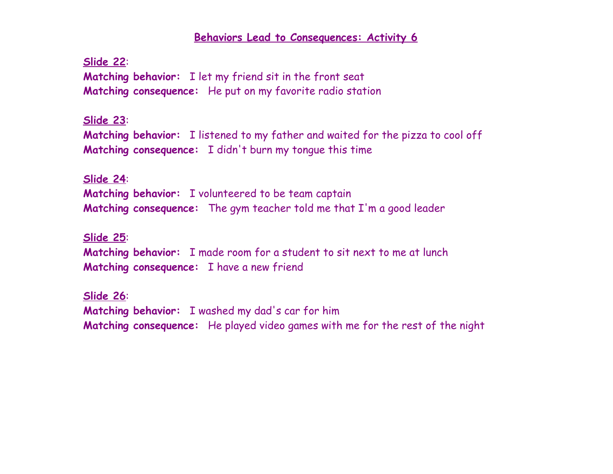**Slide 22**: **Matching behavior:** I let my friend sit in the front seat **Matching consequence:** He put on my favorite radio station

#### **Slide 23**:

**Matching behavior:** I listened to my father and waited for the pizza to cool off **Matching consequence:** I didn't burn my tongue this time

#### **Slide 24**:

**Matching behavior:** I volunteered to be team captain **Matching consequence:** The gym teacher told me that I'm a good leader

#### **Slide 25**:

**Matching behavior:** I made room for a student to sit next to me at lunch **Matching consequence:** I have a new friend

#### **Slide 26**:

**Matching behavior:** I washed my dad's car for him **Matching consequence:** He played video games with me for the rest of the night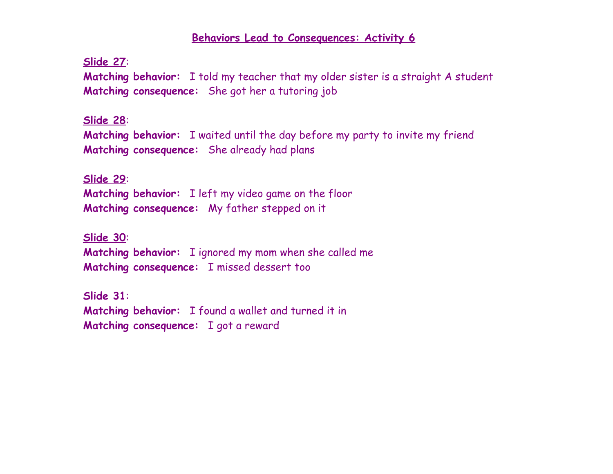**Slide 27**: **Matching behavior:** I told my teacher that my older sister is a straight A student **Matching consequence:** She got her a tutoring job

#### **Slide 28**:

**Matching behavior:** I waited until the day before my party to invite my friend **Matching consequence:** She already had plans

#### **Slide 29**:

**Matching behavior:** I left my video game on the floor **Matching consequence:** My father stepped on it

**Slide 30**: **Matching behavior:** I ignored my mom when she called me **Matching consequence:** I missed dessert too

**Slide 31**: **Matching behavior:** I found a wallet and turned it in **Matching consequence:** I got a reward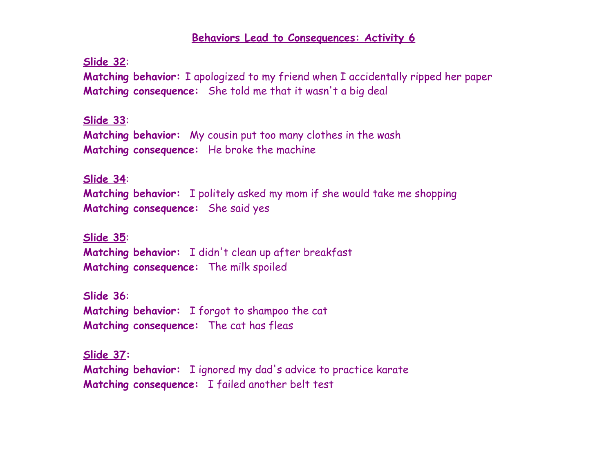**Slide 32**:

**Matching behavior:** I apologized to my friend when I accidentally ripped her paper **Matching consequence:** She told me that it wasn't a big deal

**Slide 33**:

**Matching behavior:** My cousin put too many clothes in the wash **Matching consequence:** He broke the machine

**Slide 34**:

**Matching behavior:** I politely asked my mom if she would take me shopping **Matching consequence:** She said yes

**Slide 35**: **Matching behavior:** I didn't clean up after breakfast **Matching consequence:** The milk spoiled

**Slide 36**: **Matching behavior:** I forgot to shampoo the cat **Matching consequence:** The cat has fleas

**Slide 37: Matching behavior:** I ignored my dad's advice to practice karate **Matching consequence:** I failed another belt test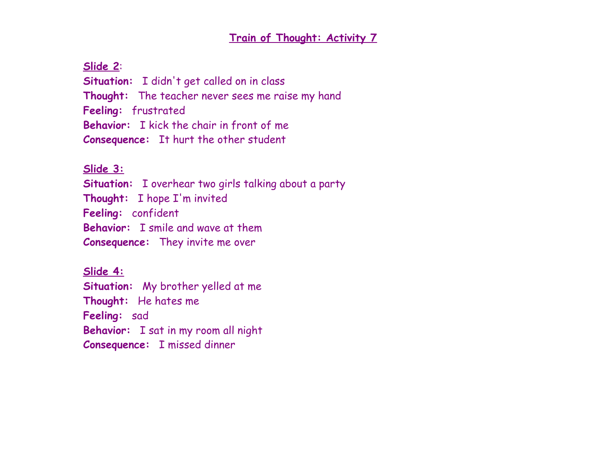### **Slide 2**:

**Situation:** I didn't get called on in class **Thought:** The teacher never sees me raise my hand **Feeling:** frustrated **Behavior:** I kick the chair in front of me **Consequence:** It hurt the other student

## **Slide 3:**

**Situation:** I overhear two girls talking about a party **Thought:** I hope I'm invited **Feeling:** confident **Behavior:** I smile and wave at them **Consequence:** They invite me over

**Slide 4: Situation:** My brother yelled at me **Thought:** He hates me **Feeling:** sad **Behavior:** I sat in my room all night **Consequence:** I missed dinner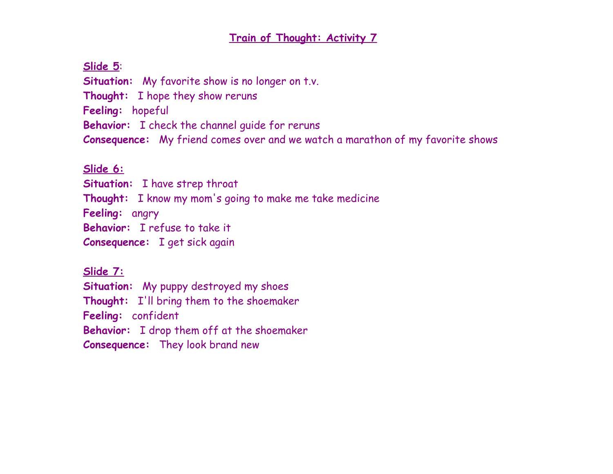## **Slide 5**:

**Situation:** My favorite show is no longer on t.v. **Thought:** I hope they show reruns **Feeling:** hopeful **Behavior:** I check the channel guide for reruns **Consequence:** My friend comes over and we watch a marathon of my favorite shows

# **Slide 6:**

**Situation:** I have strep throat **Thought:** I know my mom's going to make me take medicine **Feeling:** angry **Behavior:** I refuse to take it **Consequence:** I get sick again

**Slide 7: Situation:** My puppy destroyed my shoes **Thought:** I'll bring them to the shoemaker **Feeling:** confident **Behavior:** I drop them off at the shoemaker **Consequence:** They look brand new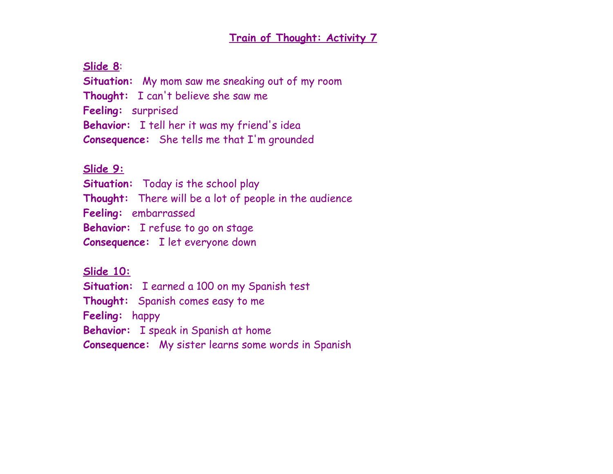## **Slide 8**:

**Situation:** My mom saw me sneaking out of my room **Thought:** I can't believe she saw me **Feeling:** surprised **Behavior:** I tell her it was my friend's idea **Consequence:** She tells me that I'm grounded

## **Slide 9:**

**Situation:** Today is the school play **Thought:** There will be a lot of people in the audience **Feeling:** embarrassed **Behavior:** I refuse to go on stage **Consequence:** I let everyone down

**Slide 10: Situation:** I earned a 100 on my Spanish test **Thought:** Spanish comes easy to me **Feeling:** happy **Behavior:** I speak in Spanish at home **Consequence:** My sister learns some words in Spanish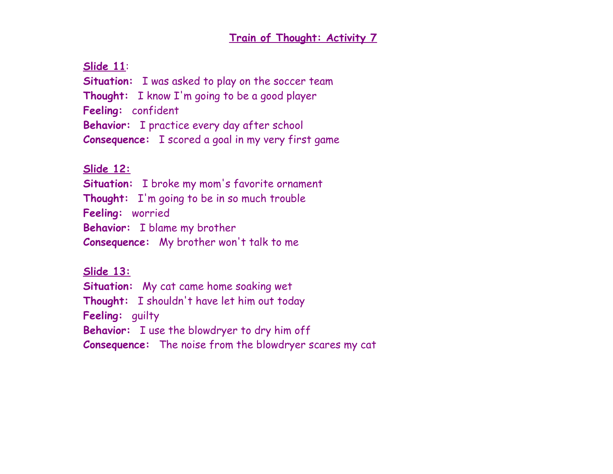**Slide 11**:

**Situation:** I was asked to play on the soccer team **Thought:** I know I'm going to be a good player **Feeling:** confident **Behavior:** I practice every day after school **Consequence:** I scored a goal in my very first game

## **Slide 12:**

**Situation:** I broke my mom's favorite ornament **Thought:** I'm going to be in so much trouble **Feeling:** worried **Behavior:** I blame my brother **Consequence:** My brother won't talk to me

**Slide 13:**

**Situation:** My cat came home soaking wet **Thought:** I shouldn't have let him out today

**Feeling:** guilty

**Behavior:** I use the blowdryer to dry him off

**Consequence:** The noise from the blowdryer scares my cat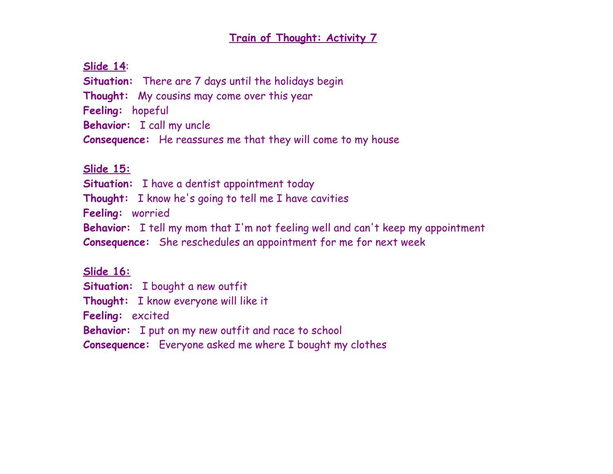## **Slide 14**:

**Situation:** There are 7 days until the holidays begin **Thought:** My cousins may come over this year **Feeling:** hopeful **Behavior:** I call my uncle **Consequence:** He reassures me that they will come to my house

## **Slide 15:**

**Situation:** I have a dentist appointment today

**Thought:** I know he's going to tell me I have cavities

**Feeling:** worried

**Behavior:** I tell my mom that I'm not feeling well and can't keep my appointment

**Consequence:** She reschedules an appointment for me for next week

**Slide 16: Situation:** I bought a new outfit **Thought:** I know everyone will like it **Feeling:** excited **Behavior:** I put on my new outfit and race to school **Consequence:** Everyone asked me where I bought my clothes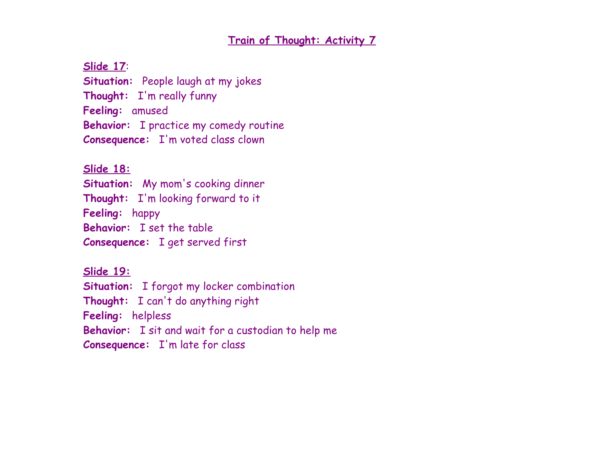**Slide 17**:

**Situation:** People laugh at my jokes **Thought:** I'm really funny **Feeling:** amused **Behavior:** I practice my comedy routine **Consequence:** I'm voted class clown

## **Slide 18:**

**Situation:** My mom's cooking dinner **Thought:** I'm looking forward to it **Feeling:** happy **Behavior:** I set the table **Consequence:** I get served first

**Slide 19: Situation:** I forgot my locker combination **Thought:** I can't do anything right **Feeling:** helpless **Behavior:** I sit and wait for a custodian to help me **Consequence:** I'm late for class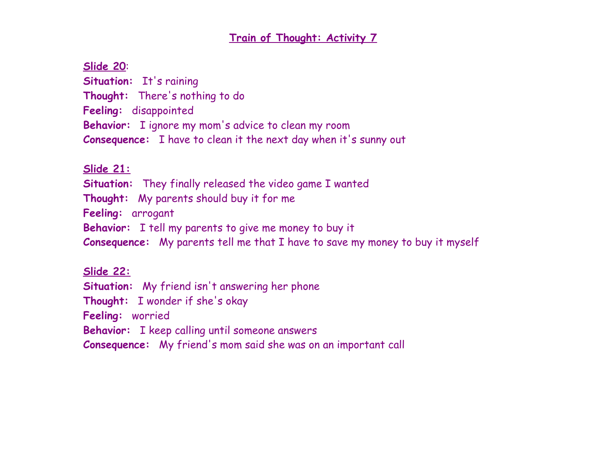## **Train of Thought: Activity 7**

## **Slide 20**:

Situation: It's raining **Thought:** There's nothing to do **Feeling:** disappointed **Behavior:** I ignore my mom's advice to clean my room **Consequence:** I have to clean it the next day when it's sunny out

## **Slide 21:**

**Situation:** They finally released the video game I wanted

**Thought:** My parents should buy it for me

**Feeling:** arrogant

**Behavior:** I tell my parents to give me money to buy it

**Consequence:** My parents tell me that I have to save my money to buy it myself

### **Slide 22:**

**Situation:** My friend isn't answering her phone

**Thought:** I wonder if she's okay

**Feeling:** worried

**Behavior:** I keep calling until someone answers

**Consequence:** My friend's mom said she was on an important call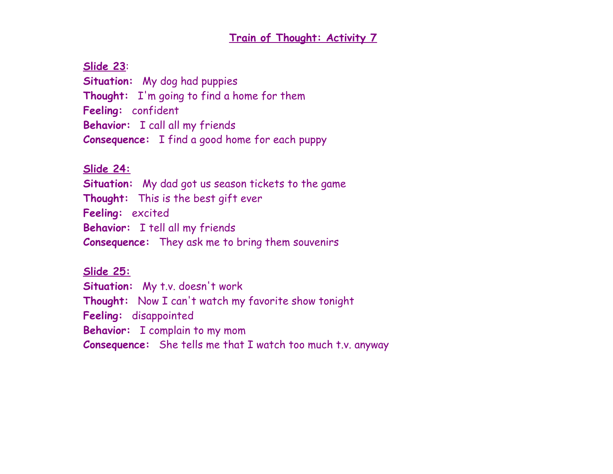#### **Slide 23**:

**Situation:** My dog had puppies **Thought:** I'm going to find a home for them **Feeling:** confident **Behavior:** I call all my friends **Consequence:** I find a good home for each puppy

#### **Slide 24:**

**Situation:** My dad got us season tickets to the game **Thought:** This is the best gift ever **Feeling:** excited **Behavior:** I tell all my friends **Consequence:** They ask me to bring them souvenirs

#### **Slide 25:**

**Situation:** My t.v. doesn't work **Thought:** Now I can't watch my favorite show tonight **Feeling:** disappointed **Behavior:** I complain to my mom **Consequence:** She tells me that I watch too much t.v. anyway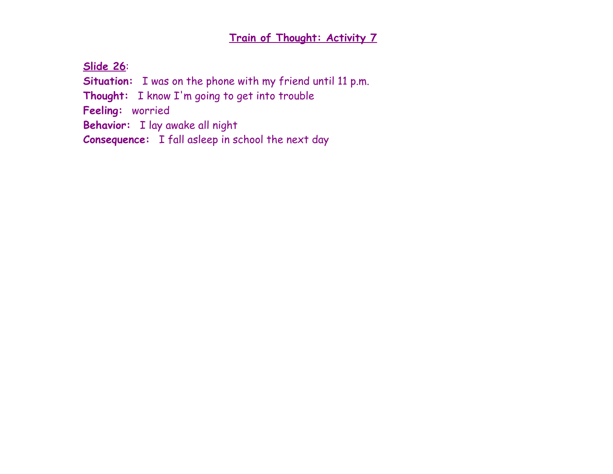**Slide 26**:

**Situation:** I was on the phone with my friend until 11 p.m.

**Thought:** I know I'm going to get into trouble

**Feeling:** worried

**Behavior:** I lay awake all night

**Consequence:** I fall asleep in school the next day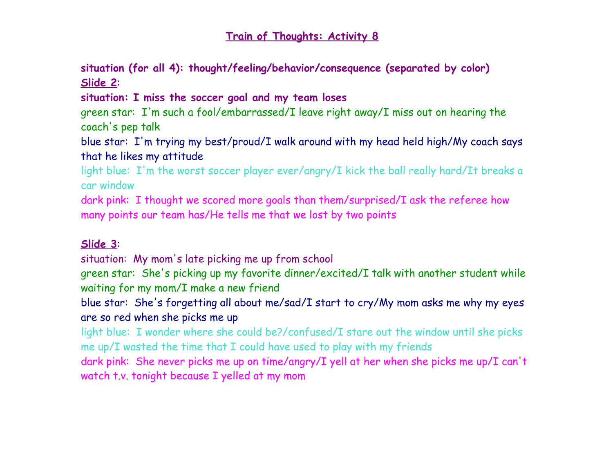**situation (for all 4): thought/feeling/behavior/consequence (separated by color) Slide 2**:

**situation: I miss the soccer goal and my team loses**

green star: I'm such a fool/embarrassed/I leave right away/I miss out on hearing the coach's pep talk

blue star: I'm trying my best/proud/I walk around with my head held high/My coach says that he likes my attitude

light blue: I'm the worst soccer player ever/angry/I kick the ball really hard/It breaks a car window

dark pink: I thought we scored more goals than them/surprised/I ask the referee how many points our team has/He tells me that we lost by two points

### **Slide 3**:

situation: My mom's late picking me up from school

green star: She's picking up my favorite dinner/excited/I talk with another student while waiting for my mom/I make a new friend

blue star: She's forgetting all about me/sad/I start to cry/My mom asks me why my eyes are so red when she picks me up

light blue: I wonder where she could be?/confused/I stare out the window until she picks me up/I wasted the time that I could have used to play with my friends

dark pink: She never picks me up on time/angry/I yell at her when she picks me up/I can't watch t.v. tonight because I yelled at my mom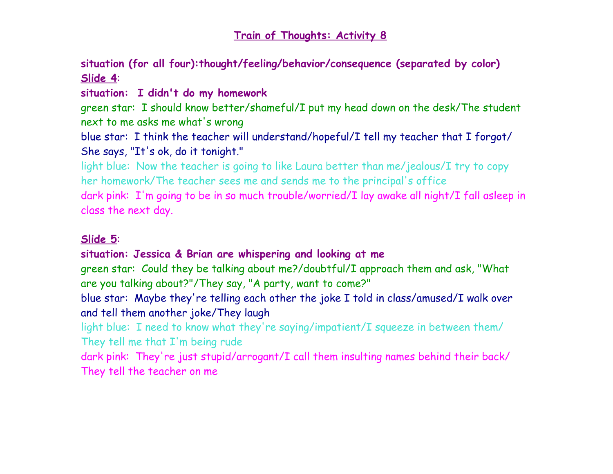**situation (for all four):thought/feeling/behavior/consequence (separated by color) Slide 4**:

**situation: I didn't do my homework**

green star: I should know better/shameful/I put my head down on the desk/The student next to me asks me what's wrong

blue star: I think the teacher will understand/hopeful/I tell my teacher that I forgot/ She says, "It's ok, do it tonight."

light blue: Now the teacher is going to like Laura better than me/jealous/I try to copy her homework/The teacher sees me and sends me to the principal's office

dark pink: I'm going to be in so much trouble/worried/I lay awake all night/I fall asleep in class the next day.

### **Slide 5**:

## **situation: Jessica & Brian are whispering and looking at me**

green star: Could they be talking about me?/doubtful/I approach them and ask, "What are you talking about?"/They say, "A party, want to come?"

blue star: Maybe they're telling each other the joke I told in class/amused/I walk over and tell them another joke/They laugh

light blue: I need to know what they're saying/impatient/I squeeze in between them/ They tell me that I'm being rude

dark pink: They're just stupid/arrogant/I call them insulting names behind their back/ They tell the teacher on me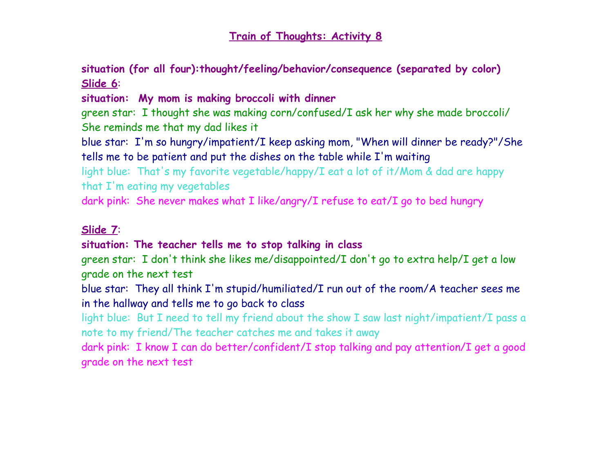**situation (for all four):thought/feeling/behavior/consequence (separated by color) Slide 6**:

**situation: My mom is making broccoli with dinner**

green star: I thought she was making corn/confused/I ask her why she made broccoli/ She reminds me that my dad likes it

blue star: I'm so hungry/impatient/I keep asking mom, "When will dinner be ready?"/She tells me to be patient and put the dishes on the table while I'm waiting

light blue: That's my favorite vegetable/happy/I eat a lot of it/Mom & dad are happy that I'm eating my vegetables

dark pink: She never makes what I like/angry/I refuse to eat/I go to bed hungry

#### **Slide 7**:

#### **situation: The teacher tells me to stop talking in class**

green star: I don't think she likes me/disappointed/I don't go to extra help/I get a low grade on the next test

blue star: They all think I'm stupid/humiliated/I run out of the room/A teacher sees me in the hallway and tells me to go back to class

light blue: But I need to tell my friend about the show I saw last night/impatient/I pass a note to my friend/The teacher catches me and takes it away

dark pink: I know I can do better/confident/I stop talking and pay attention/I get a good grade on the next test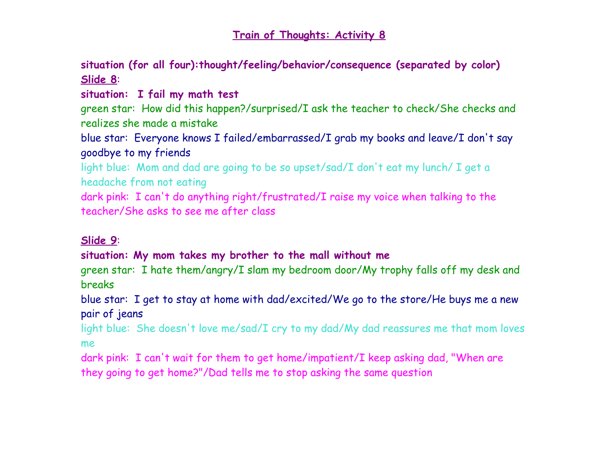**situation (for all four):thought/feeling/behavior/consequence (separated by color) Slide 8**:

### **situation: I fail my math test**

green star: How did this happen?/surprised/I ask the teacher to check/She checks and realizes she made a mistake

blue star: Everyone knows I failed/embarrassed/I grab my books and leave/I don't say goodbye to my friends

light blue: Mom and dad are going to be so upset/sad/I don't eat my lunch/ I get a headache from not eating

dark pink: I can't do anything right/frustrated/I raise my voice when talking to the teacher/She asks to see me after class

### **Slide 9**:

### **situation: My mom takes my brother to the mall without me**

green star: I hate them/angry/I slam my bedroom door/My trophy falls off my desk and breaks

blue star: I get to stay at home with dad/excited/We go to the store/He buys me a new pair of jeans

light blue: She doesn't love me/sad/I cry to my dad/My dad reassures me that mom loves me

dark pink: I can't wait for them to get home/impatient/I keep asking dad, "When are they going to get home?"/Dad tells me to stop asking the same question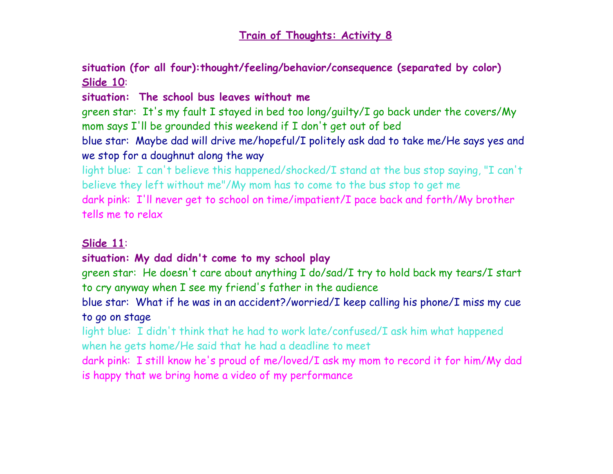**situation (for all four):thought/feeling/behavior/consequence (separated by color) Slide 10**:

### **situation: The school bus leaves without me**

green star: It's my fault I stayed in bed too long/guilty/I go back under the covers/My mom says I'll be grounded this weekend if I don't get out of bed

blue star: Maybe dad will drive me/hopeful/I politely ask dad to take me/He says yes and we stop for a doughnut along the way

light blue: I can't believe this happened/shocked/I stand at the bus stop saying, "I can't believe they left without me"/My mom has to come to the bus stop to get me dark pink: I'll never get to school on time/impatient/I pace back and forth/My brother tells me to relax

### **Slide 11**:

### **situation: My dad didn't come to my school play**

green star: He doesn't care about anything I do/sad/I try to hold back my tears/I start to cry anyway when I see my friend's father in the audience

blue star: What if he was in an accident?/worried/I keep calling his phone/I miss my cue to go on stage

light blue: I didn't think that he had to work late/confused/I ask him what happened when he gets home/He said that he had a deadline to meet

dark pink: I still know he's proud of me/loved/I ask my mom to record it for him/My dad is happy that we bring home a video of my performance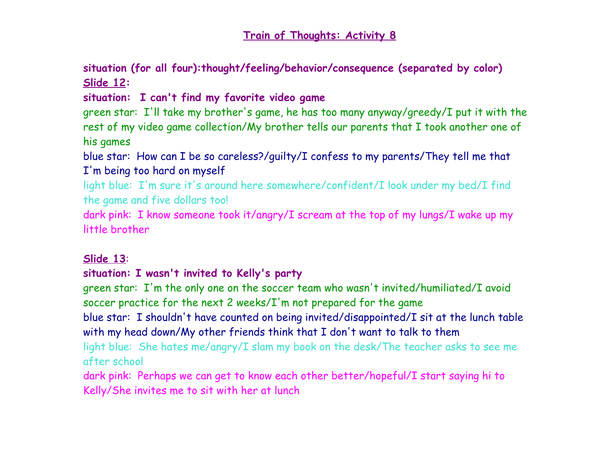**situation (for all four):thought/feeling/behavior/consequence (separated by color) Slide 12:**

**situation: I can't find my favorite video game**

green star: I'll take my brother's game, he has too many anyway/greedy/I put it with the rest of my video game collection/My brother tells our parents that I took another one of his games

blue star: How can I be so careless?/guilty/I confess to my parents/They tell me that I'm being too hard on myself

light blue: I'm sure it's around here somewhere/confident/I look under my bed/I find the game and five dollars too!

dark pink: I know someone took it/angry/I scream at the top of my lungs/I wake up my little brother

#### **Slide 13**:

### **situation: I wasn't invited to Kelly's party**

green star: I'm the only one on the soccer team who wasn't invited/humiliated/I avoid soccer practice for the next 2 weeks/I'm not prepared for the game

blue star: I shouldn't have counted on being invited/disappointed/I sit at the lunch table with my head down/My other friends think that I don't want to talk to them

light blue: She hates me/angry/I slam my book on the desk/The teacher asks to see me after school

dark pink: Perhaps we can get to know each other better/hopeful/I start saying hi to Kelly/She invites me to sit with her at lunch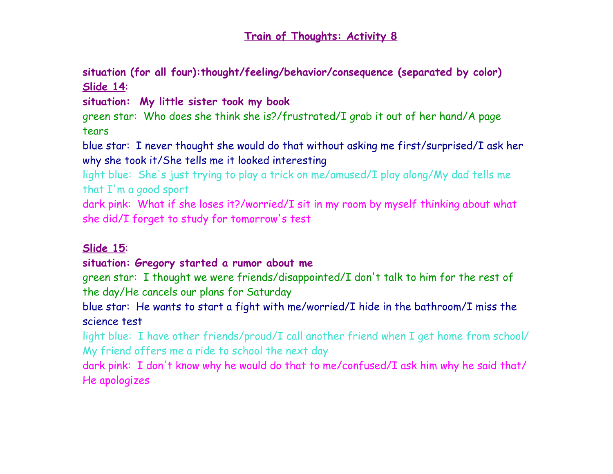**situation (for all four):thought/feeling/behavior/consequence (separated by color) Slide 14**:

**situation: My little sister took my book**

green star: Who does she think she is?/frustrated/I grab it out of her hand/A page tears

blue star: I never thought she would do that without asking me first/surprised/I ask her why she took it/She tells me it looked interesting

light blue: She's just trying to play a trick on me/amused/I play along/My dad tells me that I'm a good sport

dark pink: What if she loses it?/worried/I sit in my room by myself thinking about what she did/I forget to study for tomorrow's test

### **Slide 15**:

#### **situation: Gregory started a rumor about me**

green star: I thought we were friends/disappointed/I don't talk to him for the rest of the day/He cancels our plans for Saturday

blue star: He wants to start a fight with me/worried/I hide in the bathroom/I miss the science test

light blue: I have other friends/proud/I call another friend when I get home from school/ My friend offers me a ride to school the next day

dark pink: I don't know why he would do that to me/confused/I ask him why he said that/ He apologizes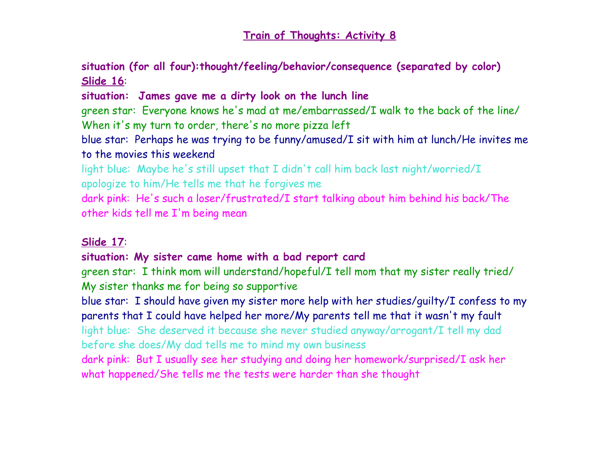**situation (for all four):thought/feeling/behavior/consequence (separated by color) Slide 16**:

**situation: James gave me a dirty look on the lunch line**

green star: Everyone knows he's mad at me/embarrassed/I walk to the back of the line/ When it's my turn to order, there's no more pizza left

blue star: Perhaps he was trying to be funny/amused/I sit with him at lunch/He invites me to the movies this weekend

light blue: Maybe he's still upset that I didn't call him back last night/worried/I apologize to him/He tells me that he forgives me

dark pink: He's such a loser/frustrated/I start talking about him behind his back/The other kids tell me I'm being mean

#### **Slide 17**:

### **situation: My sister came home with a bad report card**

green star: I think mom will understand/hopeful/I tell mom that my sister really tried/ My sister thanks me for being so supportive

blue star: I should have given my sister more help with her studies/guilty/I confess to my parents that I could have helped her more/My parents tell me that it wasn't my fault

light blue: She deserved it because she never studied anyway/arrogant/I tell my dad before she does/My dad tells me to mind my own business

dark pink: But I usually see her studying and doing her homework/surprised/I ask her what happened/She tells me the tests were harder than she thought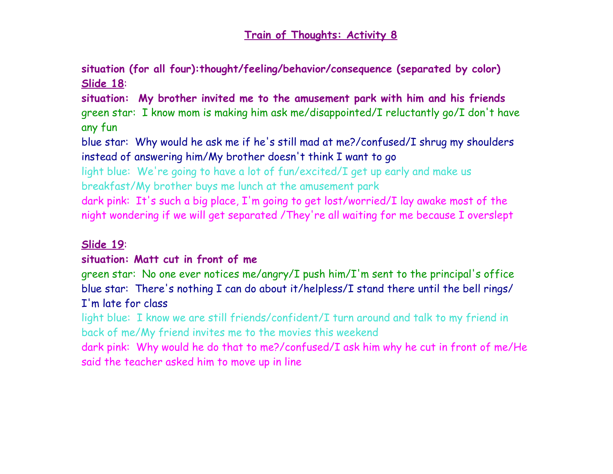**situation (for all four):thought/feeling/behavior/consequence (separated by color) Slide 18**:

**situation: My brother invited me to the amusement park with him and his friends** green star: I know mom is making him ask me/disappointed/I reluctantly go/I don't have any fun

blue star: Why would he ask me if he's still mad at me?/confused/I shrug my shoulders instead of answering him/My brother doesn't think I want to go

light blue: We're going to have a lot of fun/excited/I get up early and make us breakfast/My brother buys me lunch at the amusement park

dark pink: It's such a big place, I'm going to get lost/worried/I lay awake most of the night wondering if we will get separated /They're all waiting for me because I overslept

#### **Slide 19**:

### **situation: Matt cut in front of me**

green star: No one ever notices me/angry/I push him/I'm sent to the principal's office blue star: There's nothing I can do about it/helpless/I stand there until the bell rings/ I'm late for class

light blue: I know we are still friends/confident/I turn around and talk to my friend in back of me/My friend invites me to the movies this weekend

dark pink: Why would he do that to me?/confused/I ask him why he cut in front of me/He said the teacher asked him to move up in line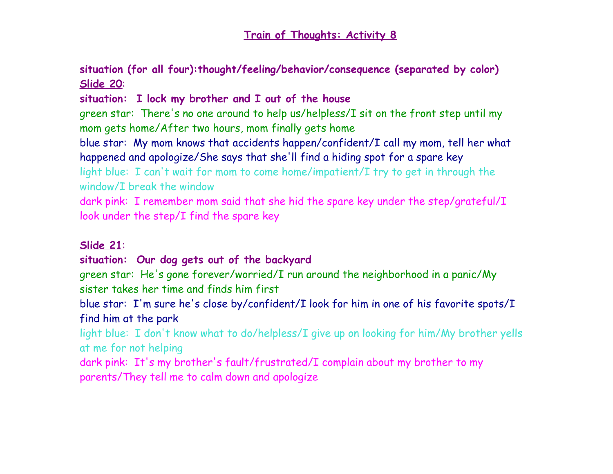**situation (for all four):thought/feeling/behavior/consequence (separated by color) Slide 20**:

## **situation: I lock my brother and I out of the house**

green star: There's no one around to help us/helpless/I sit on the front step until my mom gets home/After two hours, mom finally gets home

blue star: My mom knows that accidents happen/confident/I call my mom, tell her what happened and apologize/She says that she'll find a hiding spot for a spare key

light blue: I can't wait for mom to come home/impatient/I try to get in through the window/I break the window

dark pink: I remember mom said that she hid the spare key under the step/grateful/I look under the step/I find the spare key

## **Slide 21**:

## **situation: Our dog gets out of the backyard**

green star: He's gone forever/worried/I run around the neighborhood in a panic/My sister takes her time and finds him first

blue star: I'm sure he's close by/confident/I look for him in one of his favorite spots/I find him at the park

light blue: I don't know what to do/helpless/I give up on looking for him/My brother yells at me for not helping

dark pink: It's my brother's fault/frustrated/I complain about my brother to my parents/They tell me to calm down and apologize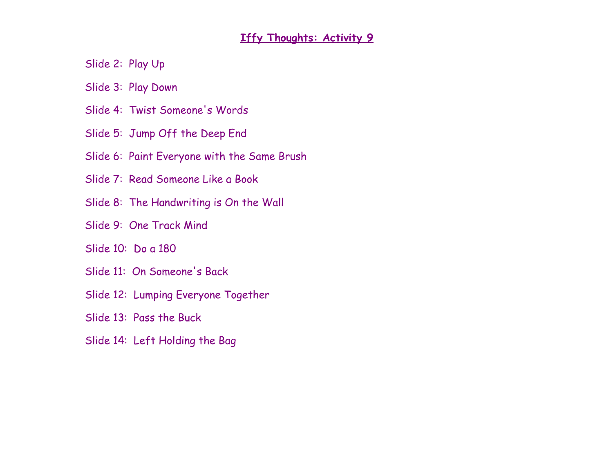### **Iffy Thoughts: Activity 9**

Slide 2: Play Up

Slide 3: Play Down

- Slide 4: Twist Someone's Words
- Slide 5: Jump Off the Deep End
- Slide 6: Paint Everyone with the Same Brush
- Slide 7: Read Someone Like a Book
- Slide 8: The Handwriting is On the Wall
- Slide 9: One Track Mind

Slide 10: Do a 180

- Slide 11: On Someone's Back
- Slide 12: Lumping Everyone Together

Slide 13: Pass the Buck

Slide 14: Left Holding the Bag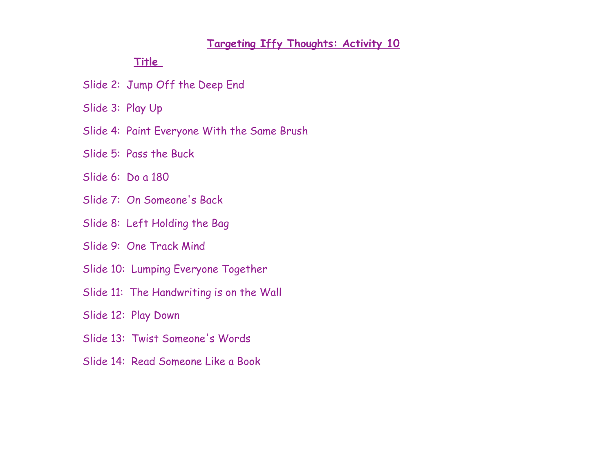#### **Targeting Iffy Thoughts: Activity 10**

#### **Title**

Slide 2: Jump Off the Deep End

Slide 3: Play Up

Slide 4: Paint Everyone With the Same Brush

Slide 5: Pass the Buck

Slide 6: Do a 180

Slide 7: On Someone's Back

Slide 8: Left Holding the Bag

Slide 9: One Track Mind

Slide 10: Lumping Everyone Together

Slide 11: The Handwriting is on the Wall

Slide 12: Play Down

Slide 13: Twist Someone's Words

Slide 14: Read Someone Like a Book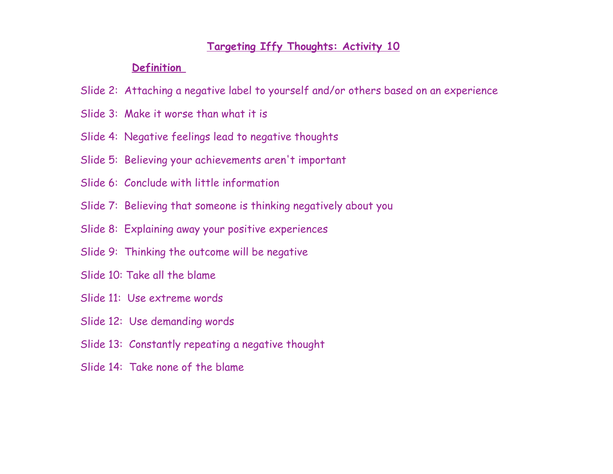#### **Targeting Iffy Thoughts: Activity 10**

#### **Definition**

- Slide 2: Attaching a negative label to yourself and/or others based on an experience
- Slide 3: Make it worse than what it is
- Slide 4: Negative feelings lead to negative thoughts
- Slide 5: Believing your achievements aren't important
- Slide 6: Conclude with little information
- Slide 7: Believing that someone is thinking negatively about you
- Slide 8: Explaining away your positive experiences
- Slide 9: Thinking the outcome will be negative
- Slide 10: Take all the blame
- Slide 11: Use extreme words
- Slide 12: Use demanding words
- Slide 13: Constantly repeating a negative thought
- Slide 14: Take none of the blame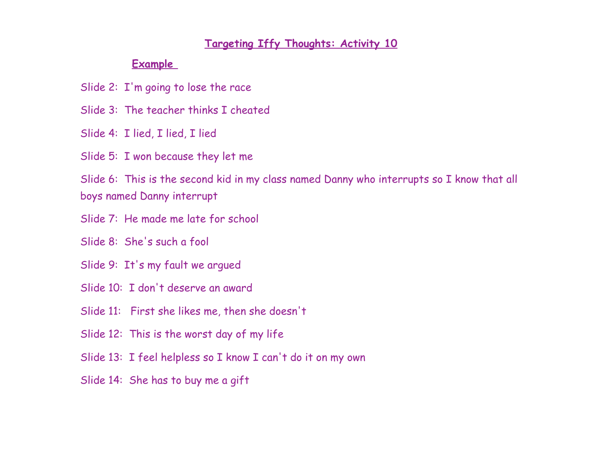#### **Targeting Iffy Thoughts: Activity 10**

#### **Example**

Slide 2: I'm going to lose the race

Slide 3: The teacher thinks I cheated

Slide 4: I lied, I lied, I lied

Slide 5: I won because they let me

Slide 6: This is the second kid in my class named Danny who interrupts so I know that all boys named Danny interrupt

Slide 7: He made me late for school

Slide 8: She's such a fool

Slide 9: It's my fault we argued

Slide 10: I don't deserve an award

Slide 11: First she likes me, then she doesn't

Slide 12: This is the worst day of my life

Slide 13: I feel helpless so I know I can't do it on my own

Slide 14: She has to buy me a gift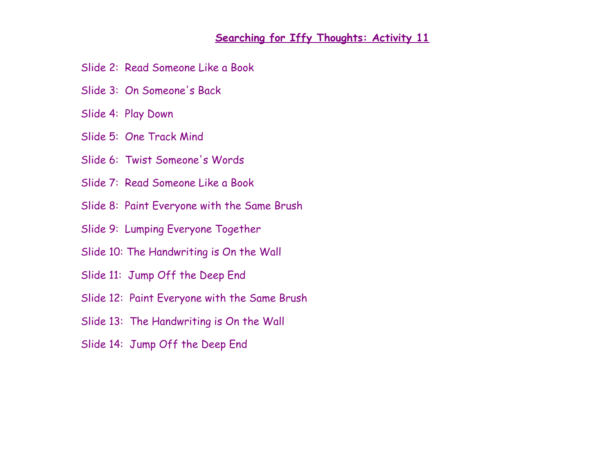#### **Searching for Iffy Thoughts: Activity 11**

- Slide 2: Read Someone Like a Book
- Slide 3: On Someone's Back
- Slide 4: Play Down
- Slide 5: One Track Mind
- Slide 6: Twist Someone's Words
- Slide 7: Read Someone Like a Book
- Slide 8: Paint Everyone with the Same Brush
- Slide 9: Lumping Everyone Together
- Slide 10: The Handwriting is On the Wall
- Slide 11: Jump Off the Deep End
- Slide 12: Paint Everyone with the Same Brush
- Slide 13: The Handwriting is On the Wall
- Slide 14: Jump Off the Deep End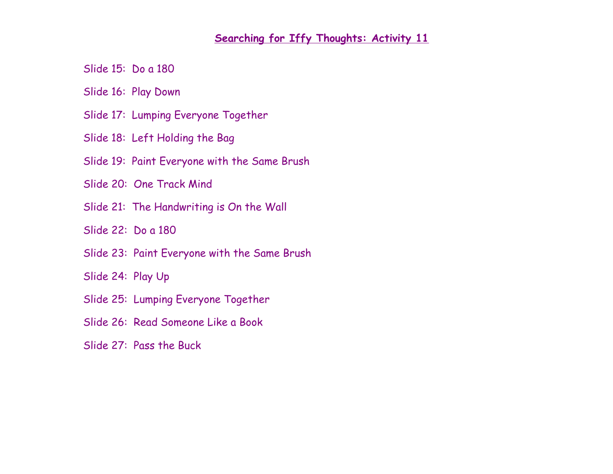#### **Searching for Iffy Thoughts: Activity 11**

Slide 15: Do a 180

Slide 16: Play Down

Slide 17: Lumping Everyone Together

Slide 18: Left Holding the Bag

Slide 19: Paint Everyone with the Same Brush

Slide 20: One Track Mind

Slide 21: The Handwriting is On the Wall

Slide 22: Do a 180

Slide 23: Paint Everyone with the Same Brush

Slide 24: Play Up

- Slide 25: Lumping Everyone Together
- Slide 26: Read Someone Like a Book

Slide 27: Pass the Buck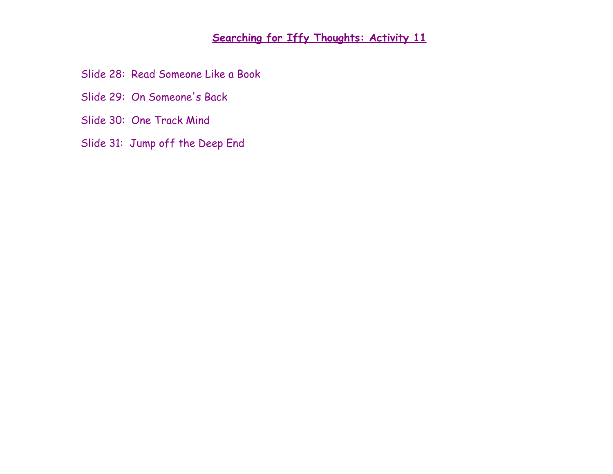## **Searching for Iffy Thoughts: Activity 11**

Slide 28: Read Someone Like a Book

- Slide 29: On Someone's Back
- Slide 30: One Track Mind
- Slide 31: Jump off the Deep End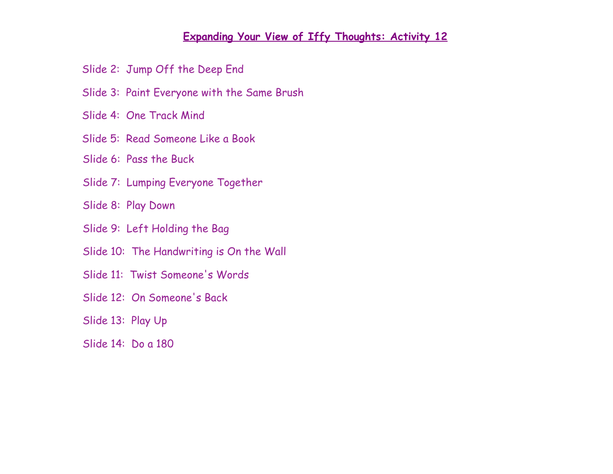#### **Expanding Your View of Iffy Thoughts: Activity 12**

Slide 2: Jump Off the Deep End

Slide 3: Paint Everyone with the Same Brush

Slide 4: One Track Mind

Slide 5: Read Someone Like a Book

Slide 6: Pass the Buck

Slide 7: Lumping Everyone Together

Slide 8: Play Down

Slide 9: Left Holding the Bag

Slide 10: The Handwriting is On the Wall

Slide 11: Twist Someone's Words

Slide 12: On Someone's Back

Slide 13: Play Up

Slide 14: Do a 180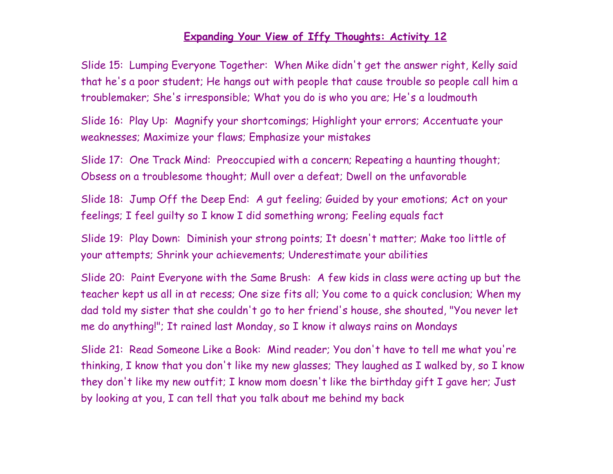#### **Expanding Your View of Iffy Thoughts: Activity 12**

Slide 15: Lumping Everyone Together: When Mike didn't get the answer right, Kelly said that he's a poor student; He hangs out with people that cause trouble so people call him a troublemaker; She's irresponsible; What you do is who you are; He's a loudmouth

Slide 16: Play Up: Magnify your shortcomings; Highlight your errors; Accentuate your weaknesses; Maximize your flaws; Emphasize your mistakes

Slide 17: One Track Mind: Preoccupied with a concern; Repeating a haunting thought; Obsess on a troublesome thought; Mull over a defeat; Dwell on the unfavorable

Slide 18: Jump Off the Deep End: A gut feeling; Guided by your emotions; Act on your feelings; I feel guilty so I know I did something wrong; Feeling equals fact

Slide 19: Play Down: Diminish your strong points; It doesn't matter; Make too little of your attempts; Shrink your achievements; Underestimate your abilities

Slide 20: Paint Everyone with the Same Brush: A few kids in class were acting up but the teacher kept us all in at recess; One size fits all; You come to a quick conclusion; When my dad told my sister that she couldn't go to her friend's house, she shouted, "You never let me do anything!"; It rained last Monday, so I know it always rains on Mondays

Slide 21: Read Someone Like a Book: Mind reader; You don't have to tell me what you're thinking, I know that you don't like my new glasses; They laughed as I walked by, so I know they don't like my new outfit; I know mom doesn't like the birthday gift I gave her; Just by looking at you, I can tell that you talk about me behind my back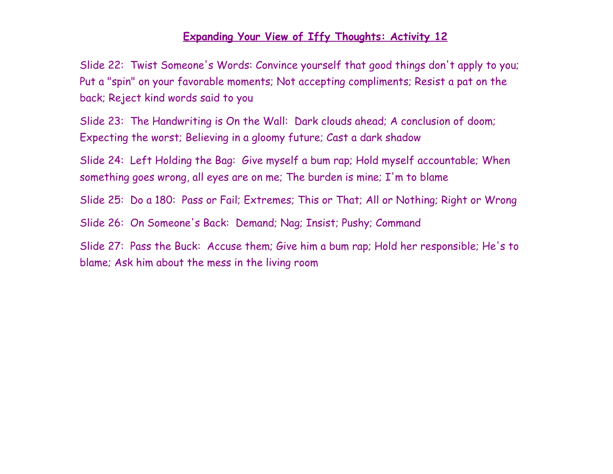#### **Expanding Your View of Iffy Thoughts: Activity 12**

Slide 22: Twist Someone's Words: Convince yourself that good things don't apply to you; Put a "spin" on your favorable moments; Not accepting compliments; Resist a pat on the back; Reject kind words said to you

Slide 23: The Handwriting is On the Wall: Dark clouds ahead; A conclusion of doom; Expecting the worst; Believing in a gloomy future; Cast a dark shadow

Slide 24: Left Holding the Bag: Give myself a bum rap; Hold myself accountable; When something goes wrong, all eyes are on me; The burden is mine; I'm to blame

Slide 25: Do a 180: Pass or Fail; Extremes; This or That; All or Nothing; Right or Wrong

Slide 26: On Someone's Back: Demand; Nag; Insist; Pushy; Command

Slide 27: Pass the Buck: Accuse them; Give him a bum rap; Hold her responsible; He's to blame; Ask him about the mess in the living room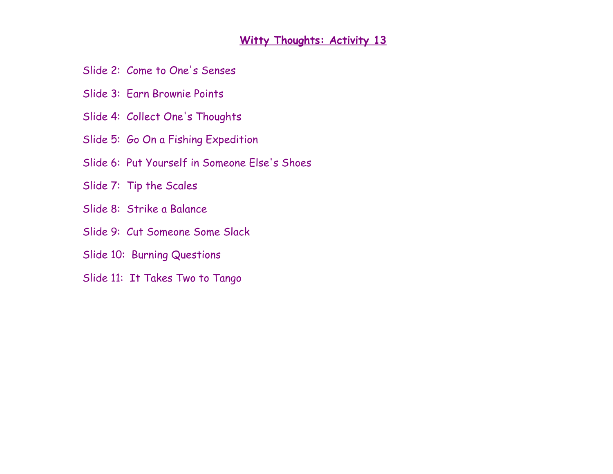### **Witty Thoughts: Activity 13**

Slide 2: Come to One's Senses

- Slide 3: Earn Brownie Points
- Slide 4: Collect One's Thoughts
- Slide 5: Go On a Fishing Expedition
- Slide 6: Put Yourself in Someone Else's Shoes
- Slide 7: Tip the Scales
- Slide 8: Strike a Balance
- Slide 9: Cut Someone Some Slack
- Slide 10: Burning Questions
- Slide 11: It Takes Two to Tango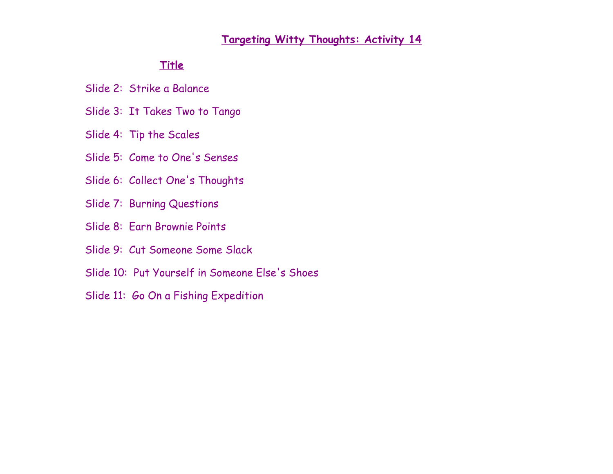#### **Targeting Witty Thoughts: Activity 14**

#### **Title**

Slide 2: Strike a Balance

- Slide 3: It Takes Two to Tango
- Slide 4: Tip the Scales
- Slide 5: Come to One's Senses
- Slide 6: Collect One's Thoughts
- Slide 7: Burning Questions
- Slide 8: Earn Brownie Points
- Slide 9: Cut Someone Some Slack
- Slide 10: Put Yourself in Someone Else's Shoes
- Slide 11: Go On a Fishing Expedition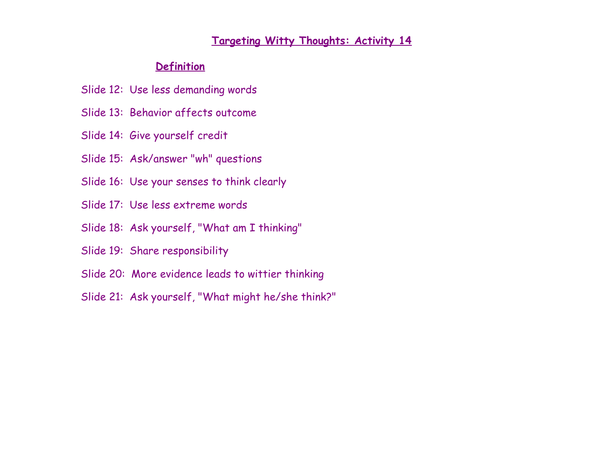#### **Targeting Witty Thoughts: Activity 14**

#### **Definition**

- Slide 12: Use less demanding words
- Slide 13: Behavior affects outcome
- Slide 14: Give yourself credit
- Slide 15: Ask/answer "wh" questions
- Slide 16: Use your senses to think clearly
- Slide 17: Use less extreme words
- Slide 18: Ask yourself, "What am I thinking"
- Slide 19: Share responsibility
- Slide 20: More evidence leads to wittier thinking
- Slide 21: Ask yourself, "What might he/she think?"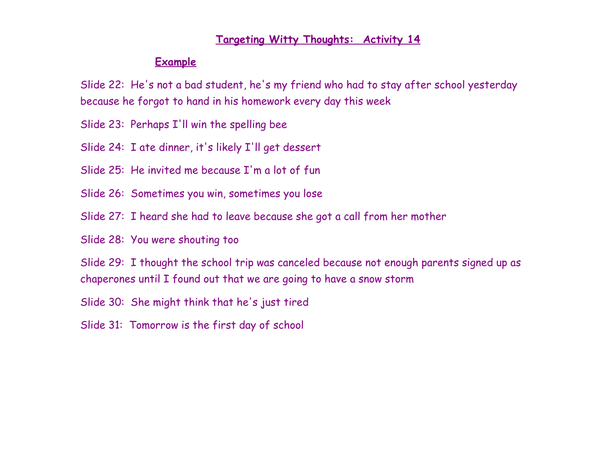#### **Targeting Witty Thoughts: Activity 14**

#### **Example**

Slide 22: He's not a bad student, he's my friend who had to stay after school yesterday because he forgot to hand in his homework every day this week

Slide 23: Perhaps I'll win the spelling bee

Slide 24: I ate dinner, it's likely I'll get dessert

Slide 25: He invited me because I'm a lot of fun

Slide 26: Sometimes you win, sometimes you lose

Slide 27: I heard she had to leave because she got a call from her mother

Slide 28: You were shouting too

Slide 29: I thought the school trip was canceled because not enough parents signed up as chaperones until I found out that we are going to have a snow storm

Slide 30: She might think that he's just tired

Slide 31: Tomorrow is the first day of school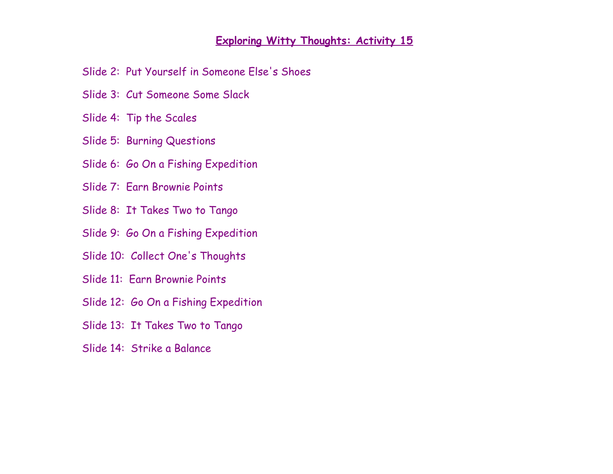#### **Exploring Witty Thoughts: Activity 15**

Slide 2: Put Yourself in Someone Else's Shoes

- Slide 3: Cut Someone Some Slack
- Slide 4: Tip the Scales
- Slide 5: Burning Questions
- Slide 6: Go On a Fishing Expedition
- Slide 7: Earn Brownie Points
- Slide 8: It Takes Two to Tango
- Slide 9: Go On a Fishing Expedition
- Slide 10: Collect One's Thoughts
- Slide 11: Earn Brownie Points
- Slide 12: Go On a Fishing Expedition
- Slide 13: It Takes Two to Tango
- Slide 14: Strike a Balance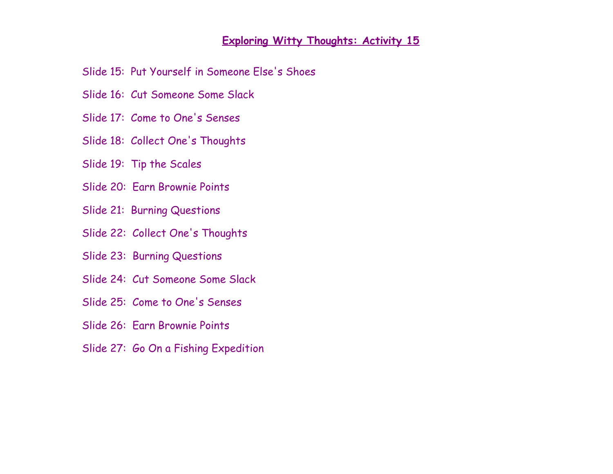#### **Exploring Witty Thoughts: Activity 15**

Slide 15: Put Yourself in Someone Else's Shoes

- Slide 16: Cut Someone Some Slack
- Slide 17: Come to One's Senses
- Slide 18: Collect One's Thoughts
- Slide 19: Tip the Scales
- Slide 20: Earn Brownie Points
- Slide 21: Burning Questions
- Slide 22: Collect One's Thoughts
- Slide 23: Burning Questions
- Slide 24: Cut Someone Some Slack
- Slide 25: Come to One's Senses
- Slide 26: Earn Brownie Points
- Slide 27: Go On a Fishing Expedition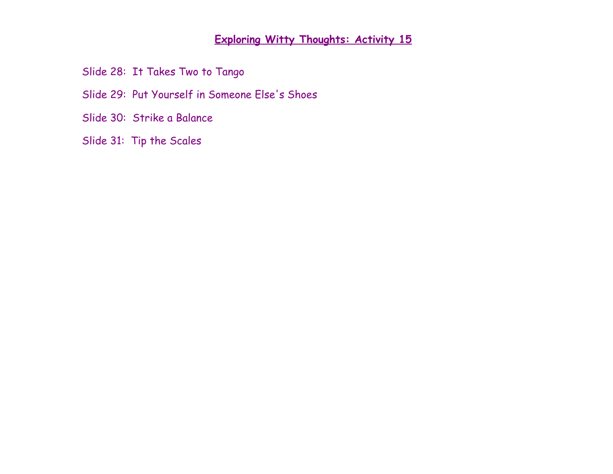## **Exploring Witty Thoughts: Activity 15**

Slide 28: It Takes Two to Tango

Slide 29: Put Yourself in Someone Else's Shoes

Slide 30: Strike a Balance

Slide 31: Tip the Scales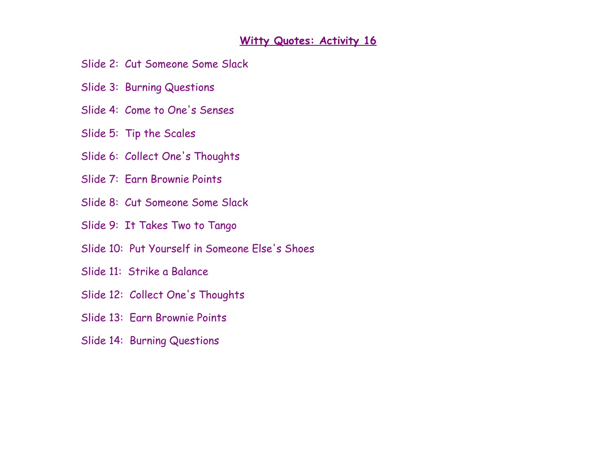#### **Witty Quotes: Activity 16**

- Slide 2: Cut Someone Some Slack
- Slide 3: Burning Questions
- Slide 4: Come to One's Senses
- Slide 5: Tip the Scales
- Slide 6: Collect One's Thoughts
- Slide 7: Earn Brownie Points
- Slide 8: Cut Someone Some Slack
- Slide 9: It Takes Two to Tango
- Slide 10: Put Yourself in Someone Else's Shoes
- Slide 11: Strike a Balance
- Slide 12: Collect One's Thoughts
- Slide 13: Earn Brownie Points
- Slide 14: Burning Questions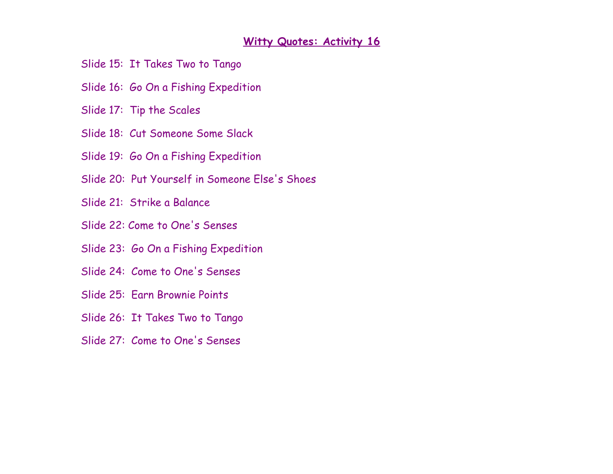#### **Witty Quotes: Activity 16**

- Slide 15: It Takes Two to Tango
- Slide 16: Go On a Fishing Expedition
- Slide 17: Tip the Scales
- Slide 18: Cut Someone Some Slack
- Slide 19: Go On a Fishing Expedition
- Slide 20: Put Yourself in Someone Else's Shoes
- Slide 21: Strike a Balance
- Slide 22: Come to One's Senses
- Slide 23: Go On a Fishing Expedition
- Slide 24: Come to One's Senses
- Slide 25: Earn Brownie Points
- Slide 26: It Takes Two to Tango
- Slide 27: Come to One's Senses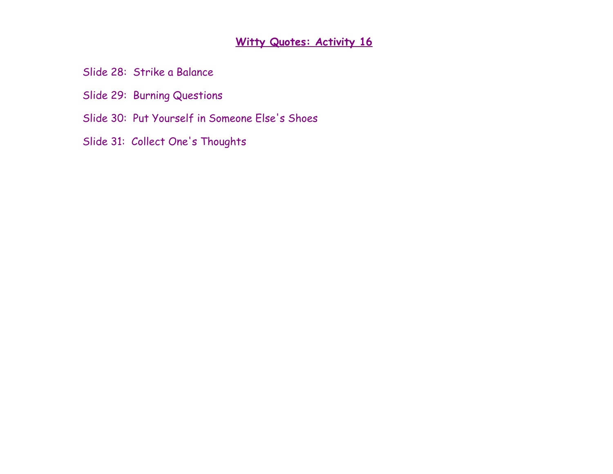## **Witty Quotes: Activity 16**

Slide 28: Strike a Balance

Slide 29: Burning Questions

Slide 30: Put Yourself in Someone Else's Shoes

Slide 31: Collect One's Thoughts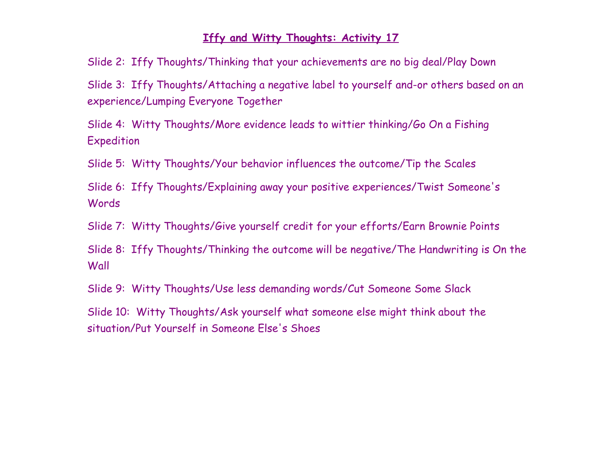#### **Iffy and Witty Thoughts: Activity 17**

Slide 2: Iffy Thoughts/Thinking that your achievements are no big deal/Play Down

Slide 3: Iffy Thoughts/Attaching a negative label to yourself and-or others based on an experience/Lumping Everyone Together

Slide 4: Witty Thoughts/More evidence leads to wittier thinking/Go On a Fishing Expedition

Slide 5: Witty Thoughts/Your behavior influences the outcome/Tip the Scales

Slide 6: Iffy Thoughts/Explaining away your positive experiences/Twist Someone's Words

Slide 7: Witty Thoughts/Give yourself credit for your efforts/Earn Brownie Points

Slide 8: Iffy Thoughts/Thinking the outcome will be negative/The Handwriting is On the Wall

Slide 9: Witty Thoughts/Use less demanding words/Cut Someone Some Slack

Slide 10: Witty Thoughts/Ask yourself what someone else might think about the situation/Put Yourself in Someone Else's Shoes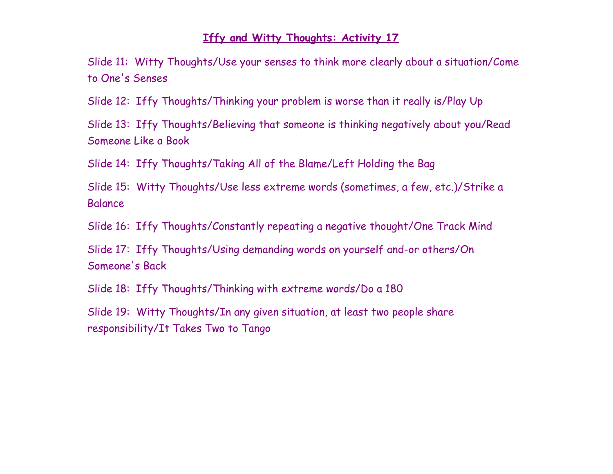#### **Iffy and Witty Thoughts: Activity 17**

Slide 11: Witty Thoughts/Use your senses to think more clearly about a situation/Come to One's Senses

Slide 12: Iffy Thoughts/Thinking your problem is worse than it really is/Play Up

Slide 13: Iffy Thoughts/Believing that someone is thinking negatively about you/Read Someone Like a Book

Slide 14: Iffy Thoughts/Taking All of the Blame/Left Holding the Bag

Slide 15: Witty Thoughts/Use less extreme words (sometimes, a few, etc.)/Strike a Balance

Slide 16: Iffy Thoughts/Constantly repeating a negative thought/One Track Mind

Slide 17: Iffy Thoughts/Using demanding words on yourself and-or others/On Someone's Back

Slide 18: Iffy Thoughts/Thinking with extreme words/Do a 180

Slide 19: Witty Thoughts/In any given situation, at least two people share responsibility/It Takes Two to Tango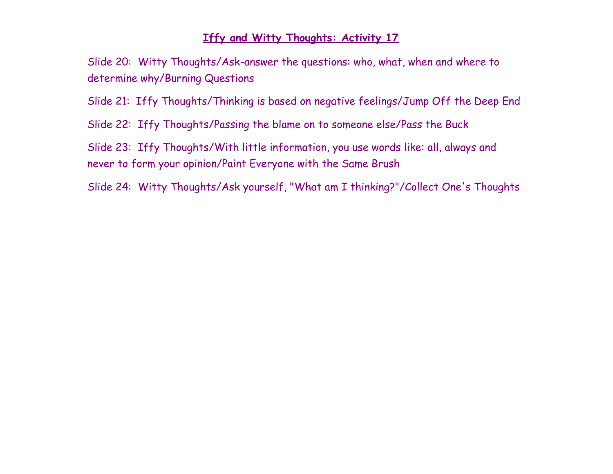#### **Iffy and Witty Thoughts: Activity 17**

Slide 20: Witty Thoughts/Ask-answer the questions: who, what, when and where to determine why/Burning Questions

- Slide 21: Iffy Thoughts/Thinking is based on negative feelings/Jump Off the Deep End
- Slide 22: Iffy Thoughts/Passing the blame on to someone else/Pass the Buck

Slide 23: Iffy Thoughts/With little information, you use words like: all, always and never to form your opinion/Paint Everyone with the Same Brush

Slide 24: Witty Thoughts/Ask yourself, "What am I thinking?"/Collect One's Thoughts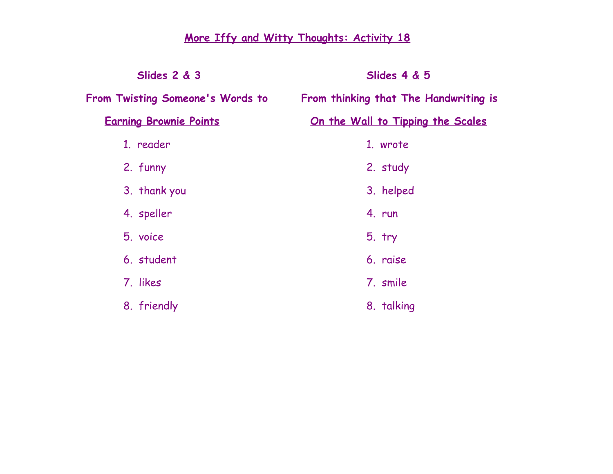# **More Iffy and Witty Thoughts: Activity 18**

| <u>Slides 2 &amp; 3</u>          | <u>Slides 4 &amp; 5</u>                  |
|----------------------------------|------------------------------------------|
| From Twisting Someone's Words to | From thinking that The Handwriting is    |
| <b>Earning Brownie Points</b>    | <u>On the Wall to Tipping the Scales</u> |
| 1. reader                        | 1. wrote                                 |
| 2. funny                         | 2. study                                 |
| 3. thank you                     | 3. helped                                |
| 4. speller                       | 4. run                                   |
| 5. voice                         | $5.$ try                                 |
| 6. student                       | 6. raise                                 |
| 7. likes                         | 7. smile                                 |
| 8. friendly                      | 8. talking                               |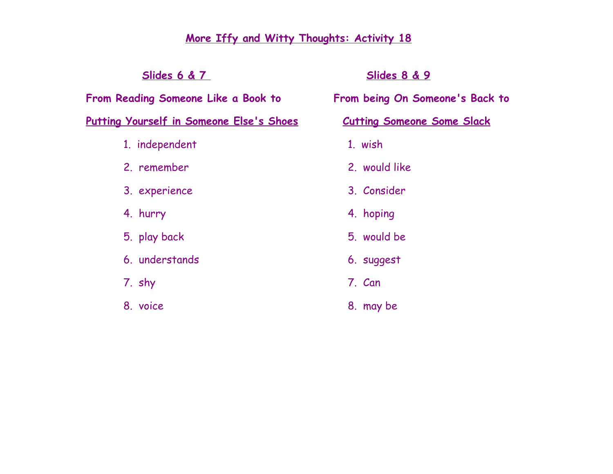| <u>Slides 8 &amp; 9</u>           |
|-----------------------------------|
| From being On Someone's Back to   |
| <b>Cutting Someone Some Slack</b> |
| 1. wish                           |
| 2. would like                     |
| 3. Consider                       |
| 4. hoping                         |
| 5. would be                       |
| 6. suggest                        |
| 7. Can                            |
| 8. may be                         |
|                                   |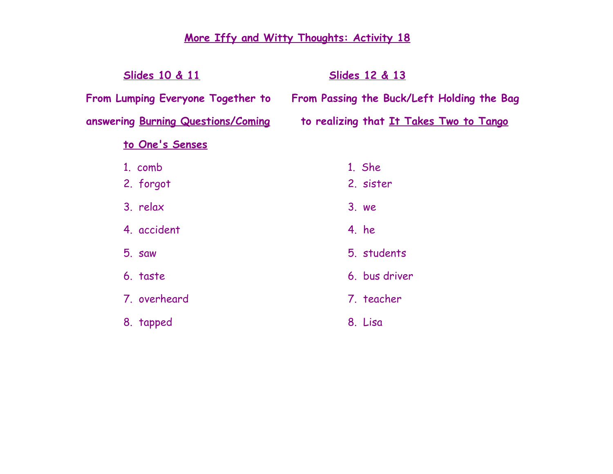| <b>Slides 12 &amp; 13</b>                  |
|--------------------------------------------|
| From Passing the Buck/Left Holding the Bag |
| to realizing that It Takes Two to Tango    |
|                                            |
| 1. She                                     |
| 2. sister                                  |
| 3. we                                      |
| 4. he                                      |
| 5. students                                |
| 6. bus driver                              |
| 7. teacher                                 |
| 8. Lisa                                    |
|                                            |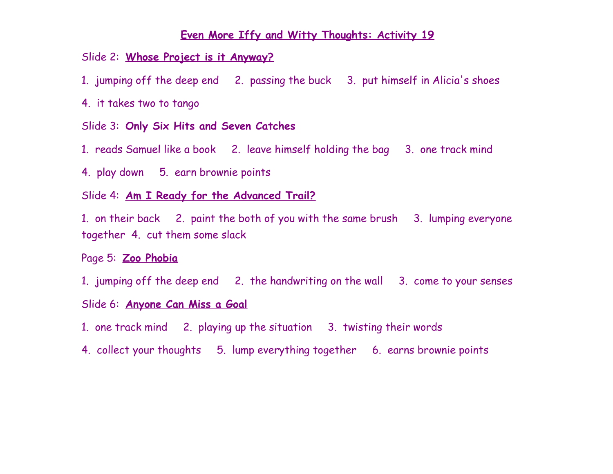#### Slide 2: **Whose Project is it Anyway?**

- 1. jumping off the deep end 2. passing the buck 3. put himself in Alicia's shoes
- 4. it takes two to tango

#### Slide 3: **Only Six Hits and Seven Catches**

- 1. reads Samuel like a book 2. leave himself holding the bag 3. one track mind
- 4. play down 5. earn brownie points

# Slide 4: **Am I Ready for the Advanced Trail?**

1. on their back 2. paint the both of you with the same brush 3. lumping everyone together 4. cut them some slack

#### Page 5: **Zoo Phobia**

1. jumping off the deep end 2. the handwriting on the wall 3. come to your senses

#### Slide 6: **Anyone Can Miss a Goal**

- 1. one track mind 2. playing up the situation 3. twisting their words
- 4. collect your thoughts 5. lump everything together 6. earns brownie points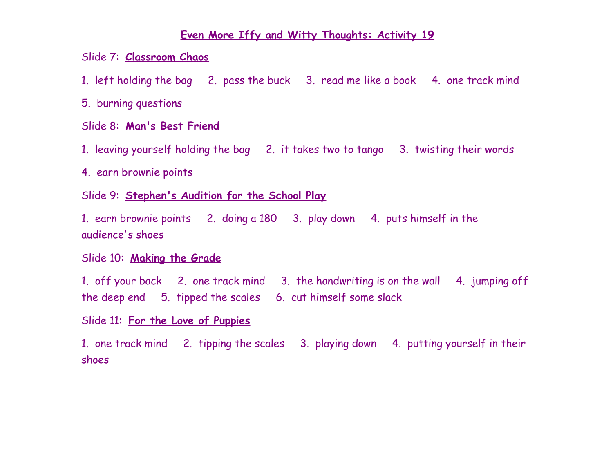# Slide 7: **Classroom Chaos**

1. left holding the bag 2. pass the buck 3. read me like a book 4. one track mind

# 5. burning questions

# Slide 8: **Man's Best Friend**

1. leaving yourself holding the bag 2. it takes two to tango 3. twisting their words

4. earn brownie points

# Slide 9: **Stephen's Audition for the School Play**

1. earn brownie points 2. doing a 180 3. play down 4. puts himself in the audience's shoes

# Slide 10: **Making the Grade**

1. off your back 2. one track mind 3. the handwriting is on the wall 4. jumping off the deep end 5. tipped the scales 6. cut himself some slack

# Slide 11: **For the Love of Puppies**

1. one track mind 2. tipping the scales 3. playing down 4. putting yourself in their shoes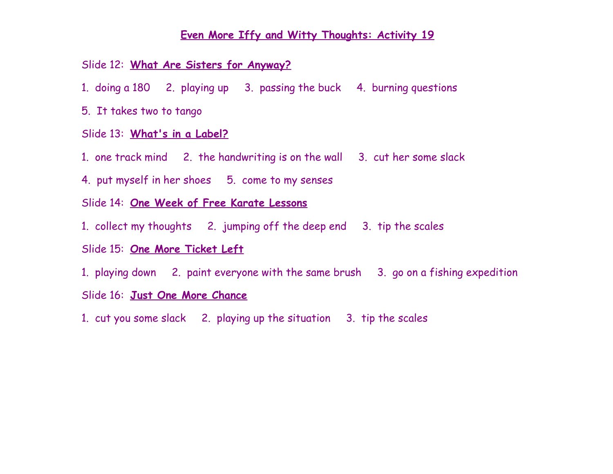## Slide 12: **What Are Sisters for Anyway?**

- 1. doing a 180 2. playing up 3. passing the buck 4. burning questions
- 5. It takes two to tango

#### Slide 13: **What's in a Label?**

- 1. one track mind 2. the handwriting is on the wall 3. cut her some slack
- 4. put myself in her shoes 5. come to my senses

#### Slide 14: **One Week of Free Karate Lessons**

1. collect my thoughts 2. jumping off the deep end 3. tip the scales

# Slide 15: **One More Ticket Left**

1. playing down 2. paint everyone with the same brush 3. go on a fishing expedition

#### Slide 16: **Just One More Chance**

1. cut you some slack 2. playing up the situation 3. tip the scales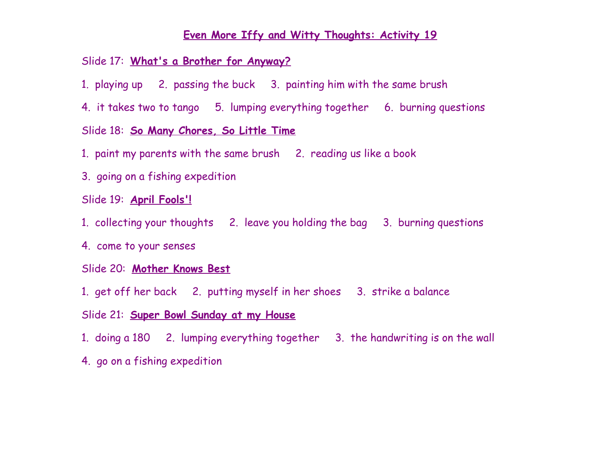#### Slide 17: **What's a Brother for Anyway?**

- 1. playing up 2. passing the buck 3. painting him with the same brush
- 4. it takes two to tango 5. lumping everything together 6. burning questions

### Slide 18: **So Many Chores, So Little Time**

- 1. paint my parents with the same brush 2. reading us like a book
- 3. going on a fishing expedition
- Slide 19: **April Fools'!**
- 1. collecting your thoughts 2. leave you holding the bag 3. burning questions
- 4. come to your senses

## Slide 20: **Mother Knows Best**

- 1. get off her back 2. putting myself in her shoes 3. strike a balance
- Slide 21: **Super Bowl Sunday at my House**
- 1. doing a 180 2. lumping everything together 3. the handwriting is on the wall
- 4. go on a fishing expedition